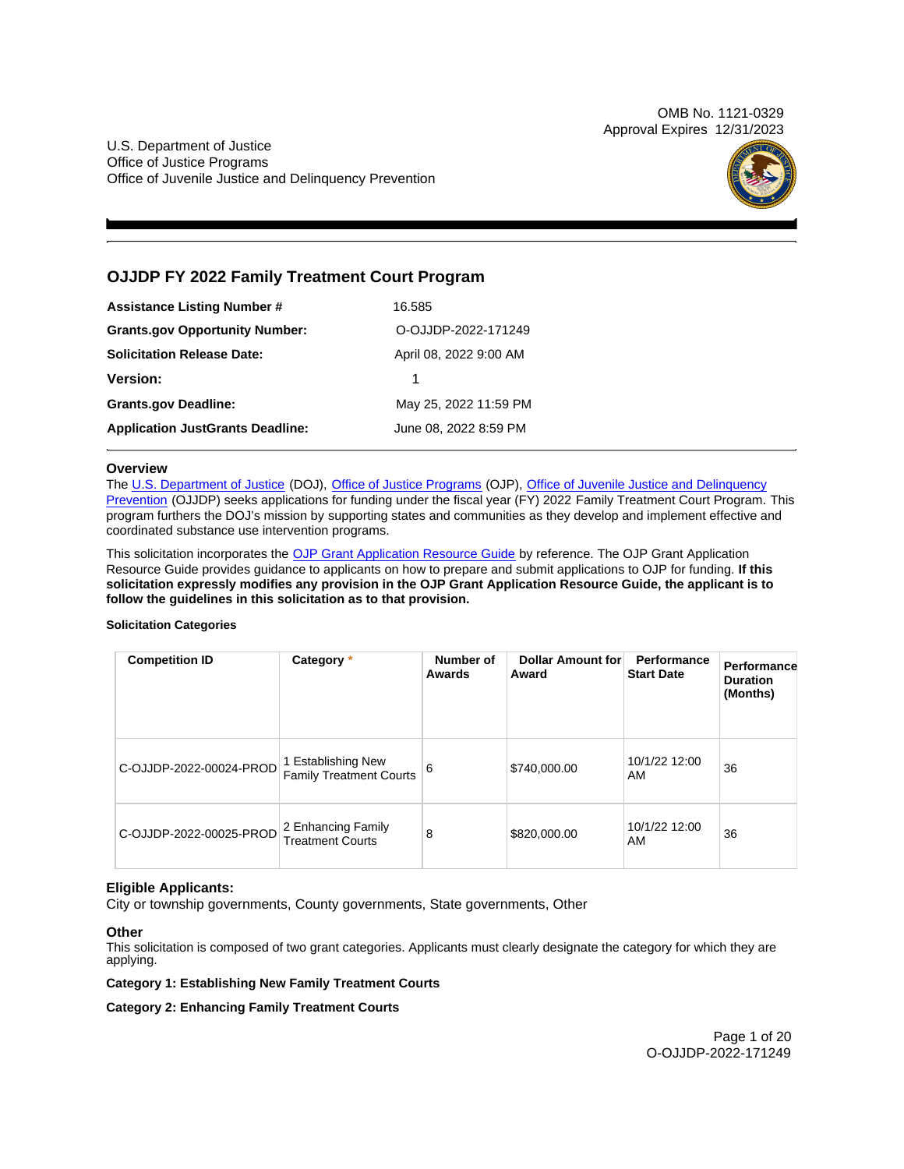OMB No. 1121-0329 Approval Expires 12/31/2023

U.S. Department of Justice Office of Justice Programs Office of Juvenile Justice and Delinquency Prevention



## **OJJDP FY 2022 Family Treatment Court Program**

| <b>Assistance Listing Number #</b>      | 16.585                 |  |  |
|-----------------------------------------|------------------------|--|--|
| <b>Grants.gov Opportunity Number:</b>   | O-OJJDP-2022-171249    |  |  |
| <b>Solicitation Release Date:</b>       | April 08, 2022 9:00 AM |  |  |
| <b>Version:</b>                         | 1                      |  |  |
| <b>Grants.gov Deadline:</b>             | May 25, 2022 11:59 PM  |  |  |
| <b>Application JustGrants Deadline:</b> | June 08, 2022 8:59 PM  |  |  |

### **Overview**

The [U.S. Department of Justice](https://www.usdoj.gov/) (DOJ), [Office of Justice Programs](https://www.ojp.gov/) (OJP), [Office of Juvenile Justice and Delinquency](https://ojjdp.ojp.gov/)  [Prevention](https://ojjdp.ojp.gov/) (OJJDP) seeks applications for funding under the fiscal year (FY) 2022 Family Treatment Court Program. This program furthers the DOJ's mission by supporting states and communities as they develop and implement effective and coordinated substance use intervention programs.

This solicitation incorporates the [OJP Grant Application Resource Guide](https://www.ojp.gov/funding/Apply/Resources/Grant-App-Resource-Guide.htm) by reference. The OJP Grant Application Resource Guide provides guidance to applicants on how to prepare and submit applications to OJP for funding. **If this solicitation expressly modifies any provision in the OJP Grant Application Resource Guide, the applicant is to follow the guidelines in this solicitation as to that provision.** 

### **Solicitation Categories**

| <b>Competition ID</b>   | Category *                                           | Number of<br>Awards | Dollar Amount for<br>Award | Performance<br><b>Start Date</b> | Performance<br><b>Duration</b><br>(Months) |
|-------------------------|------------------------------------------------------|---------------------|----------------------------|----------------------------------|--------------------------------------------|
| C-OJJDP-2022-00024-PROD | 1 Establishing New<br><b>Family Treatment Courts</b> | 6                   | \$740,000.00               | 10/1/22 12:00<br>AM              | 36                                         |
| C-OJJDP-2022-00025-PROD | 2 Enhancing Family<br><b>Treatment Courts</b>        | 8                   | \$820,000.00               | 10/1/22 12:00<br>AM              | 36                                         |

### **Eligible Applicants:**

City or township governments, County governments, State governments, Other

### **Other**

This solicitation is composed of two grant categories. Applicants must clearly designate the category for which they are applying.

### **Category 1: Establishing New Family Treatment Courts**

**Category 2: Enhancing Family Treatment Courts**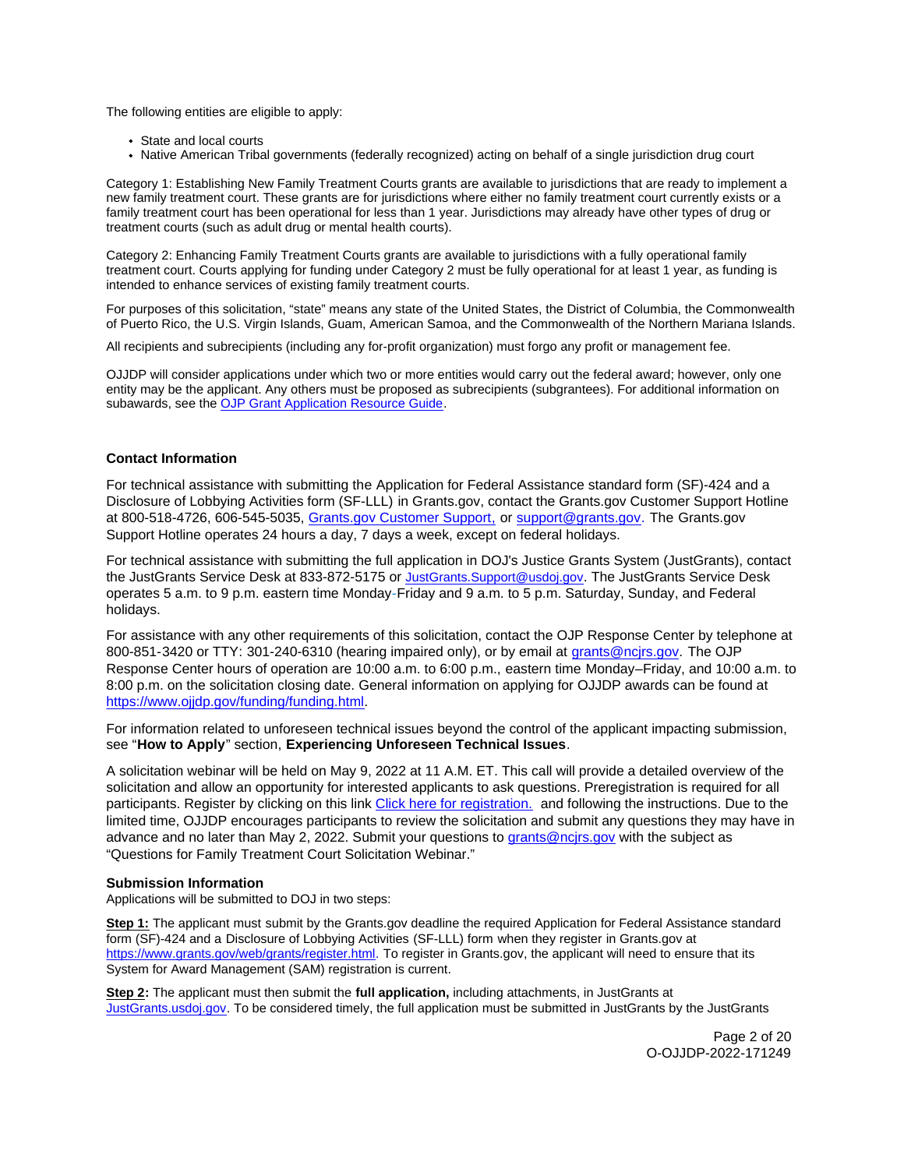<span id="page-1-0"></span>The following entities are eligible to apply:

- State and local courts
- Native American Tribal governments (federally recognized) acting on behalf of a single jurisdiction drug court

Category 1: Establishing New Family Treatment Courts grants are available to jurisdictions that are ready to implement a new family treatment court. These grants are for jurisdictions where either no family treatment court currently exists or a family treatment court has been operational for less than 1 year. Jurisdictions may already have other types of drug or treatment courts (such as adult drug or mental health courts).

Category 2: Enhancing Family Treatment Courts grants are available to jurisdictions with a fully operational family treatment court. Courts applying for funding under Category 2 must be fully operational for at least 1 year, as funding is intended to enhance services of existing family treatment courts.

For purposes of this solicitation, "state" means any state of the United States, the District of Columbia, the Commonwealth of Puerto Rico, the U.S. Virgin Islands, Guam, American Samoa, and the Commonwealth of the Northern Mariana Islands.

All recipients and subrecipients (including any for-profit organization) must forgo any profit or management fee.

OJJDP will consider applications under which two or more entities would carry out the federal award; however, only one entity may be the applicant. Any others must be proposed as subrecipients (subgrantees). For additional information on subawards, see the [OJP Grant Application Resource Guide.](https://www.ojp.gov/funding/Apply/Resources/Grant-App-Resource-Guide.htm)

### **Contact Information**

For technical assistance with submitting the Application for Federal Assistance standard form (SF)-424 and a Disclosure of Lobbying Activities form (SF-LLL) in [Grants.gov](https://Grants.gov), contact the [Grants.gov](https://Grants.gov) Customer Support Hotline at 800-518-4726, 606-545-5035, [Grants.gov Customer Support,](https://www.grants.gov/web/grants/support.html) or [support@grants.gov.](mailto:support@grants.gov) The [Grants.gov](https://Grants.gov) Support Hotline operates 24 hours a day, 7 days a week, except on federal holidays.

For technical assistance with submitting the full application in DOJ's Justice Grants System (JustGrants), contact the JustGrants Service Desk at 833-872-5175 or [JustGrants.Support@usdoj.gov.](mailto:JustGrants.Support@usdoj.gov) The JustGrants Service Desk operates 5 a.m. to 9 p.m. eastern time Monday-Friday and 9 a.m. to 5 p.m. Saturday, Sunday, and Federal holidays.

For assistance with any other requirements of this solicitation, contact the OJP Response Center by telephone at 800-851-3420 or TTY: 301-240-6310 (hearing impaired only), or by email at [grants@ncjrs.gov.](mailto:grants@ncjrs.gov) The OJP Response Center hours of operation are 10:00 a.m. to 6:00 p.m., eastern time Monday–Friday, and 10:00 a.m. to 8:00 p.m. on the solicitation closing date. General information on applying for OJJDP awards can be found at [https://www.ojjdp.gov/funding/funding.html.](https://www.ojjdp.gov/funding/funding.html)

For information related to unforeseen technical issues beyond the control of the applicant impacting submission, see "**How to Apply**" section, **Experiencing Unforeseen Technical Issues**.

participants. Register by clicking on this link [Click here for registration.](https://ojp.webex.com/ojp/onstage/g.php?MTID=e747b2b7abf939d8f9bae5798ec49de1b) and following the instructions. Due to the A solicitation webinar will be held on May 9, 2022 at 11 A.M. ET. This call will provide a detailed overview of the solicitation and allow an opportunity for interested applicants to ask questions. Preregistration is required for all limited time, OJJDP encourages participants to review the solicitation and submit any questions they may have in advance and no later than May 2, 2022. Submit your questions to [grants@ncjrs.gov](mailto:grants@ncjrs.gov) with the subject as "Questions for Family Treatment Court Solicitation Webinar."

### **Submission Information**

Applications will be submitted to DOJ in two steps:

**Step 1:** The applicant must submit by the [Grants.gov](https://Grants.gov) deadline the required Application for Federal Assistance standard form (SF)-424 and a Disclosure of Lobbying Activities (SF-LLL) form when they register in [Grants.gov](https://Grants.gov) at [https://www.grants.gov/web/grants/register.html.](https://www.grants.gov/web/grants/register.html) To register in [Grants.gov,](https://Grants.gov) the applicant will need to ensure that its System for Award Management (SAM) registration is current.

**Step 2:** The applicant must then submit the **full application,** including attachments, in JustGrants at [JustGrants.usdoj.gov.](https://justicegrants.usdoj.gov/) To be considered timely, the full application must be submitted in JustGrants by the JustGrants

> Page 2 of 20 O-OJJDP-2022-171249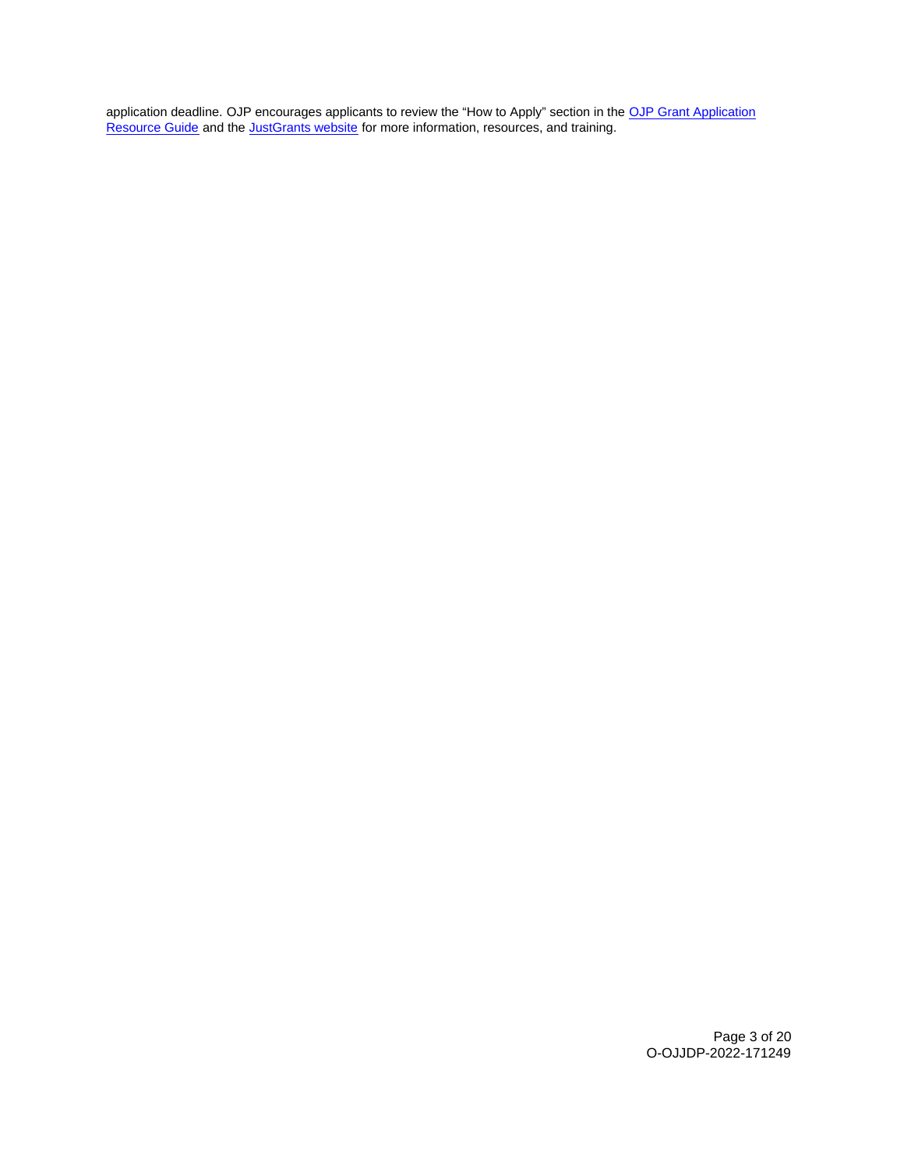application deadline. OJP encourages applicants to review the "How to Apply" section in the OJP Grant Application [Resource Guide](https://www.ojp.gov/funding/apply/ojp-grant-application-resource-guide#apply) and the [JustGrants website](https://justicegrants.usdoj.gov/news) for more information, resources, and training.

> Page 3 of 20 O-OJJDP-2022-171249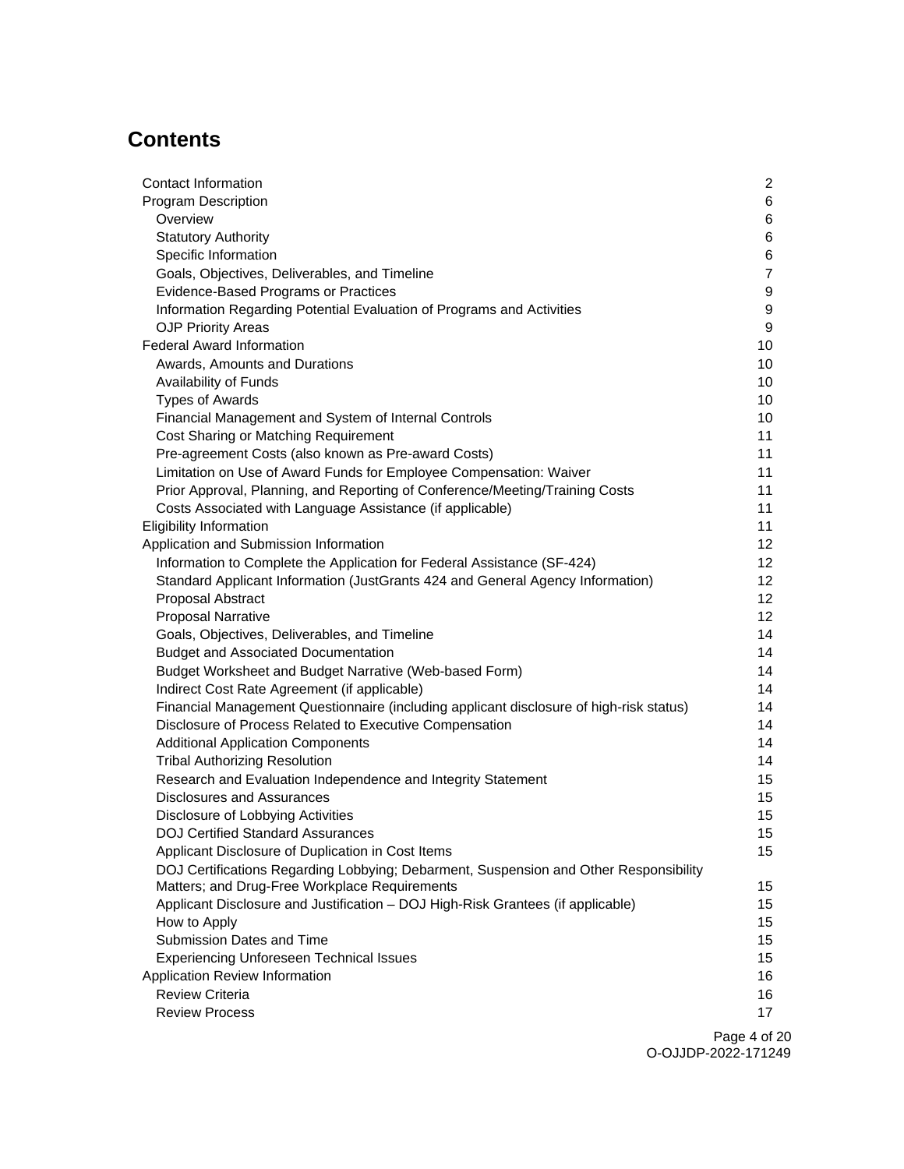# **Contents**

| Contact Information                                                                     | $\overline{2}$   |
|-----------------------------------------------------------------------------------------|------------------|
| <b>Program Description</b>                                                              | 6                |
| Overview                                                                                | 6                |
| <b>Statutory Authority</b>                                                              | 6                |
| Specific Information                                                                    | 6                |
| Goals, Objectives, Deliverables, and Timeline                                           | $\overline{7}$   |
| Evidence-Based Programs or Practices                                                    | 9                |
| Information Regarding Potential Evaluation of Programs and Activities                   | 9                |
| <b>OJP Priority Areas</b>                                                               | $\boldsymbol{9}$ |
| <b>Federal Award Information</b>                                                        | 10               |
| Awards, Amounts and Durations                                                           | 10               |
| Availability of Funds                                                                   | 10               |
| <b>Types of Awards</b>                                                                  | 10               |
| Financial Management and System of Internal Controls                                    | 10               |
| Cost Sharing or Matching Requirement                                                    | 11               |
| Pre-agreement Costs (also known as Pre-award Costs)                                     | 11               |
| Limitation on Use of Award Funds for Employee Compensation: Waiver                      | 11               |
| Prior Approval, Planning, and Reporting of Conference/Meeting/Training Costs            | 11               |
| Costs Associated with Language Assistance (if applicable)                               | 11               |
| <b>Eligibility Information</b>                                                          | 11               |
| Application and Submission Information                                                  | 12               |
| Information to Complete the Application for Federal Assistance (SF-424)                 | 12               |
| Standard Applicant Information (JustGrants 424 and General Agency Information)          | 12               |
| Proposal Abstract                                                                       | 12               |
| <b>Proposal Narrative</b>                                                               | 12               |
| Goals, Objectives, Deliverables, and Timeline                                           | 14               |
| <b>Budget and Associated Documentation</b>                                              | 14               |
| Budget Worksheet and Budget Narrative (Web-based Form)                                  | 14               |
| Indirect Cost Rate Agreement (if applicable)                                            | 14               |
| Financial Management Questionnaire (including applicant disclosure of high-risk status) | 14               |
| Disclosure of Process Related to Executive Compensation                                 | 14               |
| <b>Additional Application Components</b>                                                | 14               |
| <b>Tribal Authorizing Resolution</b>                                                    | 14               |
| Research and Evaluation Independence and Integrity Statement                            | 15               |
| <b>Disclosures and Assurances</b>                                                       | 15               |
| Disclosure of Lobbying Activities                                                       | 15               |
| <b>DOJ Certified Standard Assurances</b>                                                | 15 <sub>1</sub>  |
| Applicant Disclosure of Duplication in Cost Items                                       | 15               |
| DOJ Certifications Regarding Lobbying; Debarment, Suspension and Other Responsibility   |                  |
| Matters; and Drug-Free Workplace Requirements                                           | 15               |
| Applicant Disclosure and Justification - DOJ High-Risk Grantees (if applicable)         | 15               |
| How to Apply<br>Submission Dates and Time                                               | 15               |
|                                                                                         | 15               |
| <b>Experiencing Unforeseen Technical Issues</b>                                         | 15               |
| Application Review Information<br><b>Review Criteria</b>                                | 16<br>16         |
| <b>Review Process</b>                                                                   | 17 <sub>2</sub>  |
|                                                                                         |                  |

Page 4 of 20 O-OJJDP-2022-171249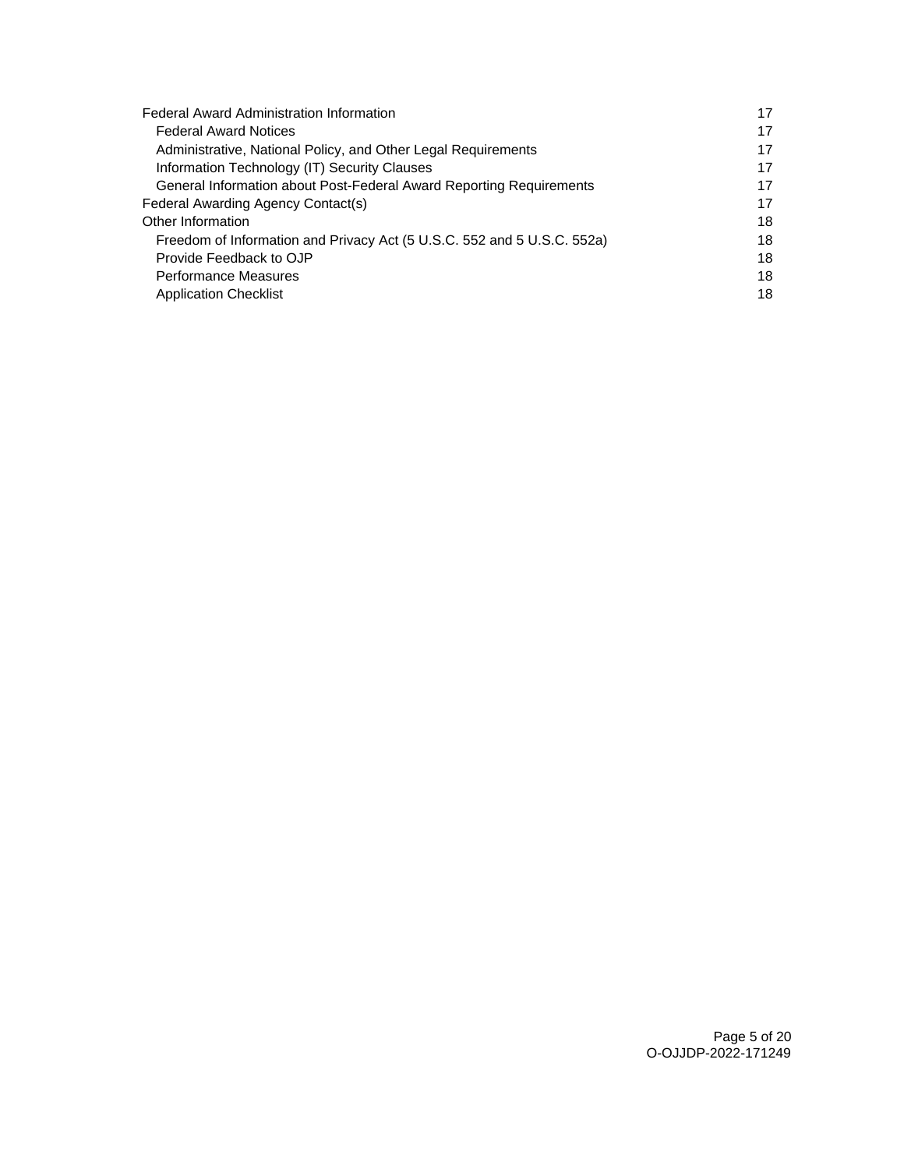| <b>Federal Award Administration Information</b>                         |    |
|-------------------------------------------------------------------------|----|
| <b>Federal Award Notices</b>                                            | 17 |
| Administrative, National Policy, and Other Legal Requirements           | 17 |
| Information Technology (IT) Security Clauses                            | 17 |
| General Information about Post-Federal Award Reporting Requirements     | 17 |
| Federal Awarding Agency Contact(s)                                      | 17 |
| Other Information                                                       | 18 |
| Freedom of Information and Privacy Act (5 U.S.C. 552 and 5 U.S.C. 552a) | 18 |
| Provide Feedback to OJP                                                 | 18 |
| <b>Performance Measures</b>                                             | 18 |
| <b>Application Checklist</b>                                            | 18 |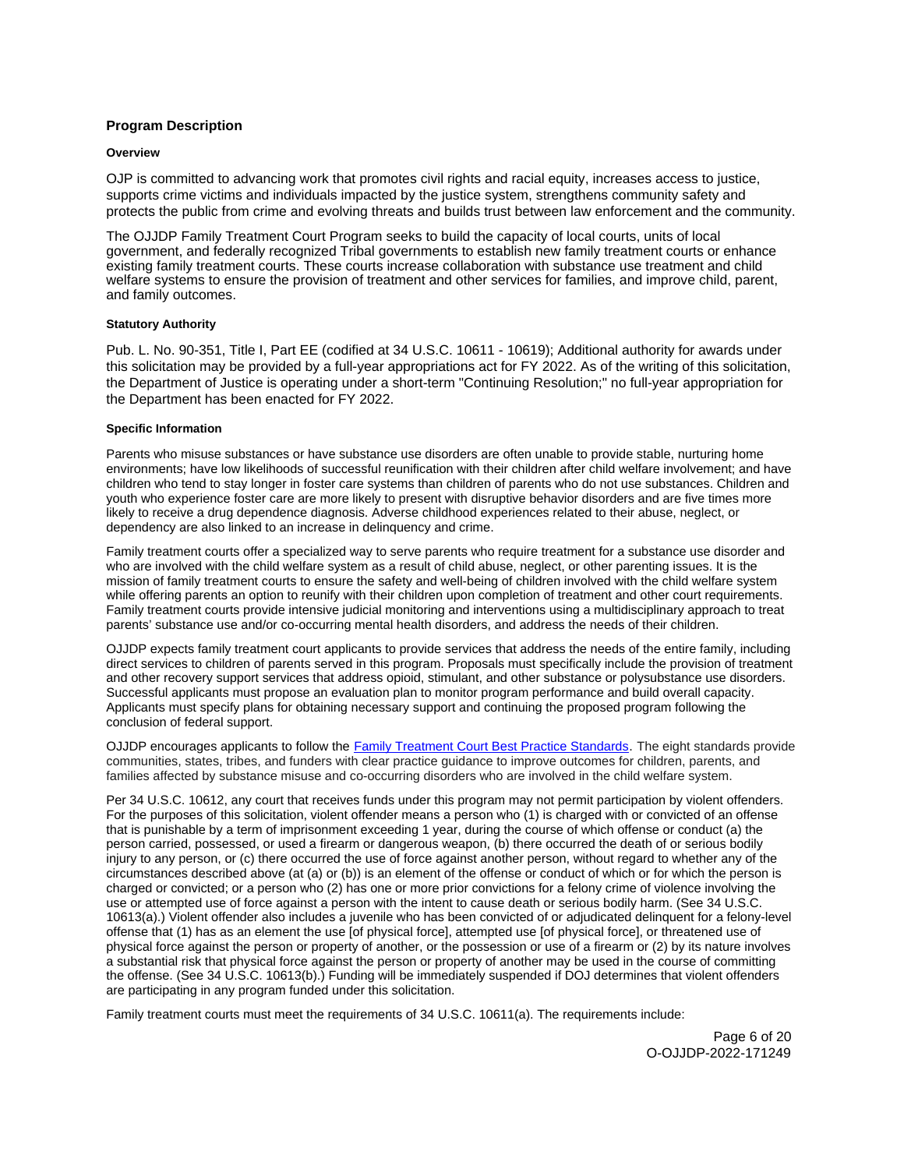### <span id="page-5-0"></span>**Program Description**

### **Overview**

OJP is committed to advancing work that promotes civil rights and racial equity, increases access to justice, supports crime victims and individuals impacted by the justice system, strengthens community safety and protects the public from crime and evolving threats and builds trust between law enforcement and the community.

The OJJDP Family Treatment Court Program seeks to build the capacity of local courts, units of local government, and federally recognized Tribal governments to establish new family treatment courts or enhance existing family treatment courts. These courts increase collaboration with substance use treatment and child welfare systems to ensure the provision of treatment and other services for families, and improve child, parent, and family outcomes.

### **Statutory Authority**

Pub. L. No. 90-351, Title I, Part EE (codified at 34 U.S.C. 10611 - 10619); Additional authority for awards under this solicitation may be provided by a full-year appropriations act for FY 2022. As of the writing of this solicitation, the Department of Justice is operating under a short-term "Continuing Resolution;" no full-year appropriation for the Department has been enacted for FY 2022.

### **Specific Information**

Parents who misuse substances or have substance use disorders are often unable to provide stable, nurturing home environments; have low likelihoods of successful reunification with their children after child welfare involvement; and have children who tend to stay longer in foster care systems than children of parents who do not use substances. Children and youth who experience foster care are more likely to present with disruptive behavior disorders and are five times more likely to receive a drug dependence diagnosis. Adverse childhood experiences related to their abuse, neglect, or dependency are also linked to an increase in delinquency and crime.

Family treatment courts offer a specialized way to serve parents who require treatment for a substance use disorder and who are involved with the child welfare system as a result of child abuse, neglect, or other parenting issues. It is the mission of family treatment courts to ensure the safety and well-being of children involved with the child welfare system while offering parents an option to reunify with their children upon completion of treatment and other court requirements. Family treatment courts provide intensive judicial monitoring and interventions using a multidisciplinary approach to treat parents' substance use and/or co-occurring mental health disorders, and address the needs of their children.

OJJDP expects family treatment court applicants to provide services that address the needs of the entire family, including direct services to children of parents served in this program. Proposals must specifically include the provision of treatment and other recovery support services that address opioid, stimulant, and other substance or polysubstance use disorders. Successful applicants must propose an evaluation plan to monitor program performance and build overall capacity. Applicants must specify plans for obtaining necessary support and continuing the proposed program following the conclusion of federal support.

OJJDP encourages applicants to follow the [Family Treatment Court Best Practice Standards.](https://www.cffutures.org/files/OJJDP/FDCTTA/FTC_Standards.pdf) The eight standards provide communities, states, tribes, and funders with clear practice guidance to improve outcomes for children, parents, and families affected by substance misuse and co-occurring disorders who are involved in the child welfare system.

Per 34 U.S.C. 10612, any court that receives funds under this program may not permit participation by violent offenders. For the purposes of this solicitation, violent offender means a person who (1) is charged with or convicted of an offense that is punishable by a term of imprisonment exceeding 1 year, during the course of which offense or conduct (a) the person carried, possessed, or used a firearm or dangerous weapon, (b) there occurred the death of or serious bodily injury to any person, or (c) there occurred the use of force against another person, without regard to whether any of the circumstances described above (at (a) or (b)) is an element of the offense or conduct of which or for which the person is charged or convicted; or a person who (2) has one or more prior convictions for a felony crime of violence involving the use or attempted use of force against a person with the intent to cause death or serious bodily harm. (See 34 U.S.C. 10613(a).) Violent offender also includes a juvenile who has been convicted of or adjudicated delinquent for a felony-level offense that (1) has as an element the use [of physical force], attempted use [of physical force], or threatened use of physical force against the person or property of another, or the possession or use of a firearm or (2) by its nature involves a substantial risk that physical force against the person or property of another may be used in the course of committing the offense. (See 34 U.S.C. 10613(b).) Funding will be immediately suspended if DOJ determines that violent offenders are participating in any program funded under this solicitation.

Family treatment courts must meet the requirements of 34 U.S.C. 10611(a). The requirements include: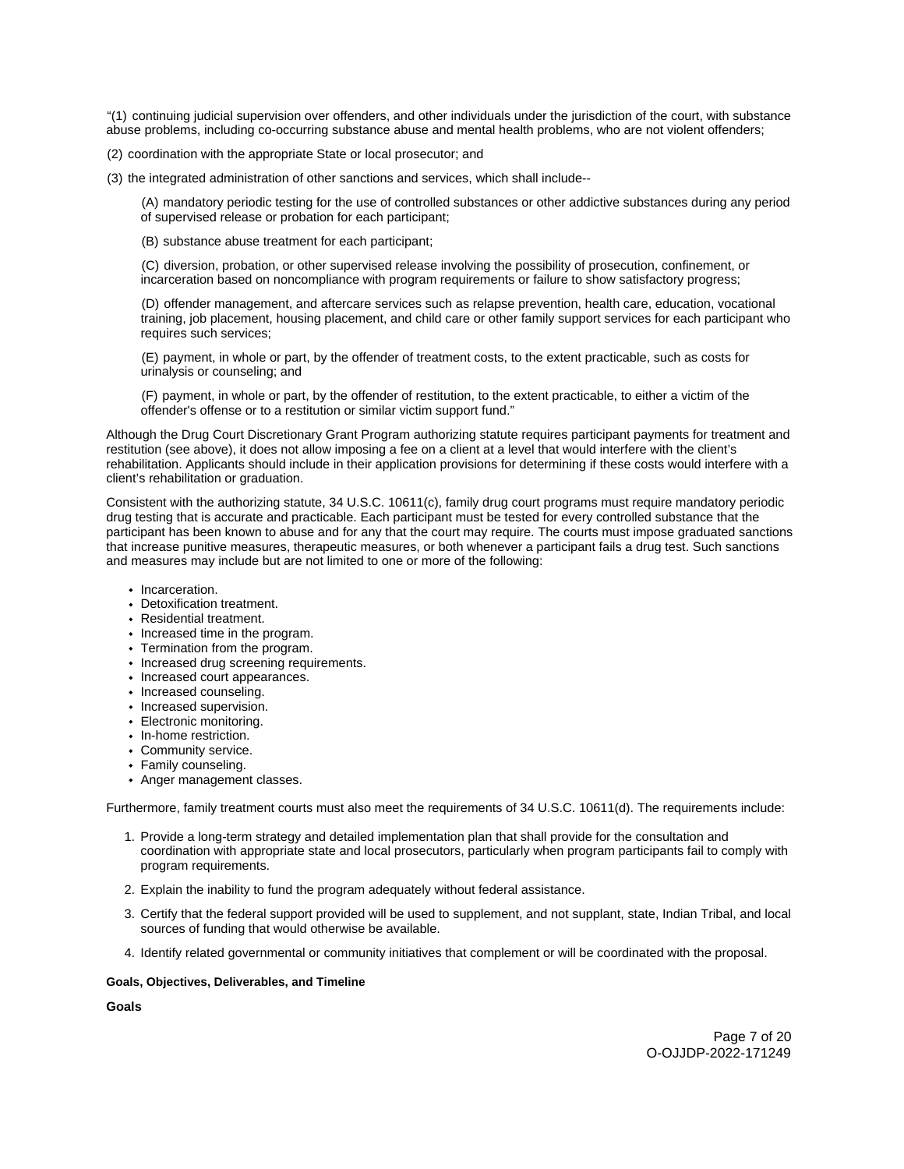<span id="page-6-0"></span>"(1) continuing judicial supervision over offenders, and other individuals under the jurisdiction of the court, with substance abuse problems, including co-occurring substance abuse and mental health problems, who are not violent offenders;

(2) coordination with the appropriate State or local prosecutor; and

(3) the integrated administration of other sanctions and services, which shall include--

(A) mandatory periodic testing for the use of controlled substances or other addictive substances during any period of supervised release or probation for each participant;

(B) substance abuse treatment for each participant;

(C) diversion, probation, or other supervised release involving the possibility of prosecution, confinement, or incarceration based on noncompliance with program requirements or failure to show satisfactory progress;

(D) offender management, and aftercare services such as relapse prevention, health care, education, vocational training, job placement, housing placement, and child care or other family support services for each participant who requires such services;

(E) payment, in whole or part, by the offender of treatment costs, to the extent practicable, such as costs for urinalysis or counseling; and

(F) payment, in whole or part, by the offender of restitution, to the extent practicable, to either a victim of the offender's offense or to a restitution or similar victim support fund."

Although the Drug Court Discretionary Grant Program authorizing statute requires participant payments for treatment and restitution (see above), it does not allow imposing a fee on a client at a level that would interfere with the client's rehabilitation. Applicants should include in their application provisions for determining if these costs would interfere with a client's rehabilitation or graduation.

Consistent with the authorizing statute, 34 U.S.C. 10611(c), family drug court programs must require mandatory periodic drug testing that is accurate and practicable. Each participant must be tested for every controlled substance that the participant has been known to abuse and for any that the court may require. The courts must impose graduated sanctions that increase punitive measures, therapeutic measures, or both whenever a participant fails a drug test. Such sanctions and measures may include but are not limited to one or more of the following:

- Incarceration.
- Detoxification treatment.
- Residential treatment.
- Increased time in the program.
- Termination from the program.
- Increased drug screening requirements.
- Increased court appearances.
- Increased counseling.
- Increased supervision.
- Electronic monitoring.
- In-home restriction.
- Community service.
- Family counseling.
- Anger management classes.

Furthermore, family treatment courts must also meet the requirements of 34 U.S.C. 10611(d). The requirements include:

- 1. Provide a long-term strategy and detailed implementation plan that shall provide for the consultation and coordination with appropriate state and local prosecutors, particularly when program participants fail to comply with program requirements.
- 2. Explain the inability to fund the program adequately without federal assistance.
- 3. Certify that the federal support provided will be used to supplement, and not supplant, state, Indian Tribal, and local sources of funding that would otherwise be available.
- 4. Identify related governmental or community initiatives that complement or will be coordinated with the proposal.

### **Goals, Objectives, Deliverables, and Timeline**

**Goals**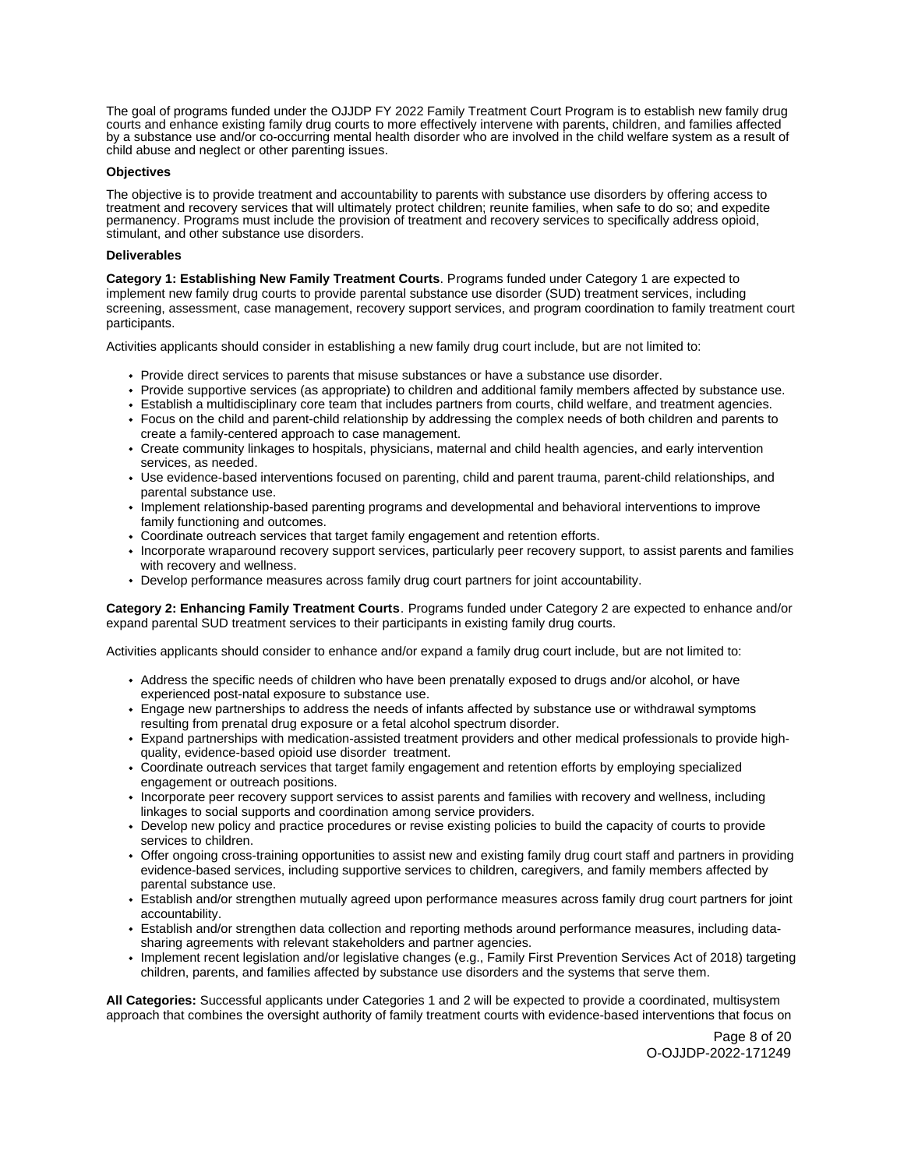The goal of programs funded under the OJJDP FY 2022 Family Treatment Court Program is to establish new family drug courts and enhance existing family drug courts to more effectively intervene with parents, children, and families affected by a substance use and/or co-occurring mental health disorder who are involved in the child welfare system as a result of child abuse and neglect or other parenting issues.

### **Objectives**

The objective is to provide treatment and accountability to parents with substance use disorders by offering access to treatment and recovery services that will ultimately protect children; reunite families, when safe to do so; and expedite permanency. Programs must include the provision of treatment and recovery services to specifically address opioid, stimulant, and other substance use disorders.

#### **Deliverables**

**Category 1: Establishing New Family Treatment Courts**. Programs funded under Category 1 are expected to implement new family drug courts to provide parental substance use disorder (SUD) treatment services, including screening, assessment, case management, recovery support services, and program coordination to family treatment court participants.

Activities applicants should consider in establishing a new family drug court include, but are not limited to:

- Provide direct services to parents that misuse substances or have a substance use disorder.
- Provide supportive services (as appropriate) to children and additional family members affected by substance use.
- Establish a multidisciplinary core team that includes partners from courts, child welfare, and treatment agencies.
- Focus on the child and parent-child relationship by addressing the complex needs of both children and parents to create a family-centered approach to case management.
- Create community linkages to hospitals, physicians, maternal and child health agencies, and early intervention services, as needed.
- Use evidence-based interventions focused on parenting, child and parent trauma, parent-child relationships, and parental substance use.
- Implement relationship-based parenting programs and developmental and behavioral interventions to improve family functioning and outcomes.
- Coordinate outreach services that target family engagement and retention efforts.
- Incorporate wraparound recovery support services, particularly peer recovery support, to assist parents and families with recovery and wellness.
- Develop performance measures across family drug court partners for joint accountability.

**Category 2: Enhancing Family Treatment Courts**. Programs funded under Category 2 are expected to enhance and/or expand parental SUD treatment services to their participants in existing family drug courts.

Activities applicants should consider to enhance and/or expand a family drug court include, but are not limited to:

- Address the specific needs of children who have been prenatally exposed to drugs and/or alcohol, or have experienced post-natal exposure to substance use.
- Engage new partnerships to address the needs of infants affected by substance use or withdrawal symptoms resulting from prenatal drug exposure or a fetal alcohol spectrum disorder.
- Expand partnerships with medication-assisted treatment providers and other medical professionals to provide highquality, evidence-based opioid use disorder treatment.
- Coordinate outreach services that target family engagement and retention efforts by employing specialized engagement or outreach positions.
- Incorporate peer recovery support services to assist parents and families with recovery and wellness, including linkages to social supports and coordination among service providers.
- Develop new policy and practice procedures or revise existing policies to build the capacity of courts to provide services to children.
- Offer ongoing cross-training opportunities to assist new and existing family drug court staff and partners in providing evidence-based services, including supportive services to children, caregivers, and family members affected by parental substance use.
- Establish and/or strengthen mutually agreed upon performance measures across family drug court partners for joint accountability.
- Establish and/or strengthen data collection and reporting methods around performance measures, including datasharing agreements with relevant stakeholders and partner agencies.
- Implement recent legislation and/or legislative changes (e.g., Family First Prevention Services Act of 2018) targeting children, parents, and families affected by substance use disorders and the systems that serve them.

**All Categories:** Successful applicants under Categories 1 and 2 will be expected to provide a coordinated, multisystem approach that combines the oversight authority of family treatment courts with evidence-based interventions that focus on

> Page 8 of 20 O-OJJDP-2022-171249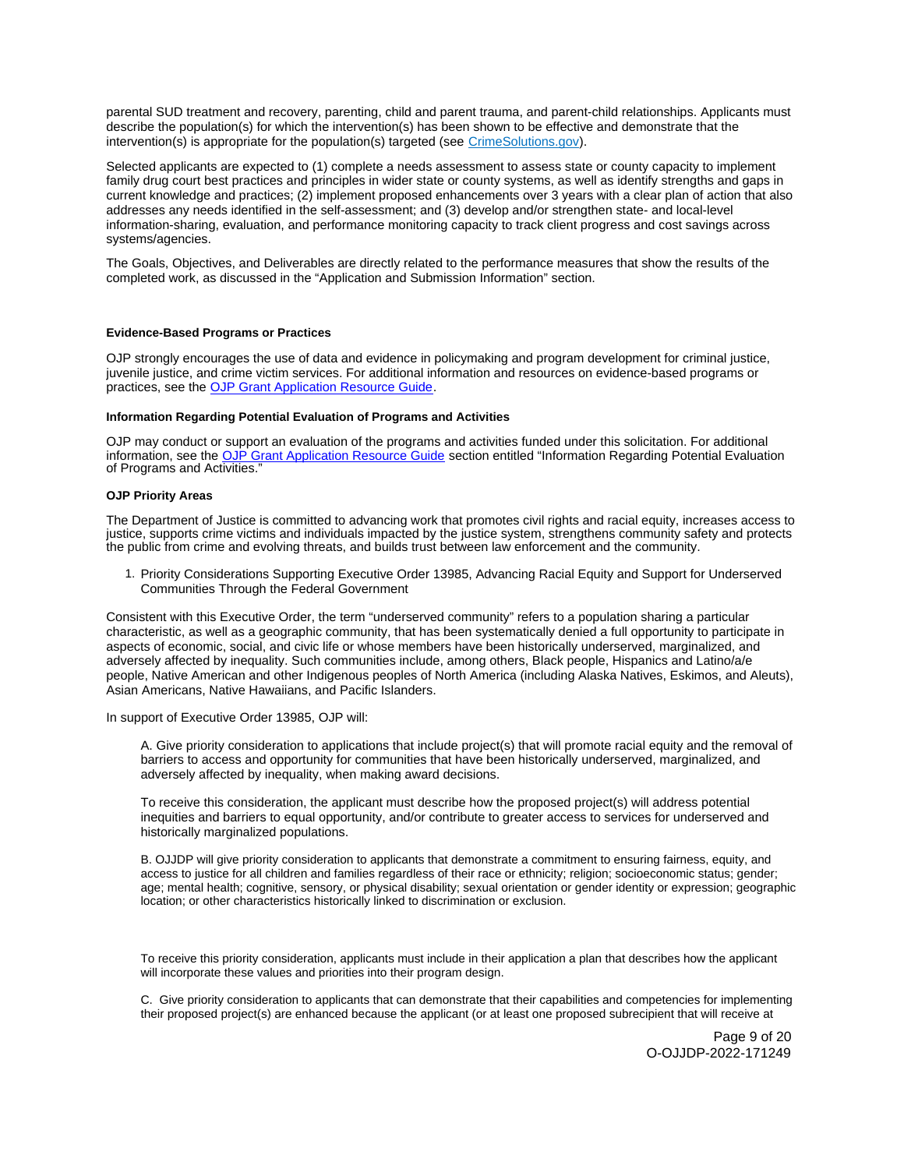<span id="page-8-0"></span>parental SUD treatment and recovery, parenting, child and parent trauma, and parent-child relationships. Applicants must describe the population(s) for which the intervention(s) has been shown to be effective and demonstrate that the intervention(s) is appropriate for the population(s) targeted (see [CrimeSolutions.gov\)](https://www.crimesolutions.gov/).

Selected applicants are expected to (1) complete a needs assessment to assess state or county capacity to implement family drug court best practices and principles in wider state or county systems, as well as identify strengths and gaps in current knowledge and practices; (2) implement proposed enhancements over 3 years with a clear plan of action that also addresses any needs identified in the self-assessment; and (3) develop and/or strengthen state- and local-level information-sharing, evaluation, and performance monitoring capacity to track client progress and cost savings across systems/agencies.

The Goals, Objectives, and Deliverables are directly related to the performance measures that show the results of the completed work, as discussed in the "Application and Submission Information" section.

### **Evidence-Based Programs or Practices**

OJP strongly encourages the use of data and evidence in policymaking and program development for criminal justice, juvenile justice, and crime victim services. For additional information and resources on evidence-based programs or practices, see the [OJP Grant Application Resource Guide.](https://www.ojp.gov/funding/apply/ojp-grant-application-resource-guide#evidence-based)

#### **Information Regarding Potential Evaluation of Programs and Activities**

OJP may conduct or support an evaluation of the programs and activities funded under this solicitation. For additional information, see the [OJP Grant Application Resource Guide](https://www.ojp.gov/funding/apply/ojp-grant-application-resource-guide#potential-evaluation) section entitled "Information Regarding Potential Evaluation of Programs and Activities."

### **OJP Priority Areas**

The Department of Justice is committed to advancing work that promotes civil rights and racial equity, increases access to justice, supports crime victims and individuals impacted by the justice system, strengthens community safety and protects the public from crime and evolving threats, and builds trust between law enforcement and the community.

1. Priority Considerations Supporting Executive Order 13985, Advancing Racial Equity and Support for Underserved Communities Through the Federal Government

Consistent with this Executive Order, the term "underserved community" refers to a population sharing a particular characteristic, as well as a geographic community, that has been systematically denied a full opportunity to participate in aspects of economic, social, and civic life or whose members have been historically underserved, marginalized, and adversely affected by inequality. Such communities include, among others, Black people, Hispanics and Latino/a/e people, Native American and other Indigenous peoples of North America (including Alaska Natives, Eskimos, and Aleuts), Asian Americans, Native Hawaiians, and Pacific Islanders.

In support of Executive Order 13985, OJP will:

A. Give priority consideration to applications that include project(s) that will promote racial equity and the removal of barriers to access and opportunity for communities that have been historically underserved, marginalized, and adversely affected by inequality, when making award decisions.

To receive this consideration, the applicant must describe how the proposed project(s) will address potential inequities and barriers to equal opportunity, and/or contribute to greater access to services for underserved and historically marginalized populations.

B. OJJDP will give priority consideration to applicants that demonstrate a commitment to ensuring fairness, equity, and access to justice for all children and families regardless of their race or ethnicity; religion; socioeconomic status; gender; age; mental health; cognitive, sensory, or physical disability; sexual orientation or gender identity or expression; geographic location; or other characteristics historically linked to discrimination or exclusion.

To receive this priority consideration, applicants must include in their application a plan that describes how the applicant will incorporate these values and priorities into their program design.

C. Give priority consideration to applicants that can demonstrate that their capabilities and competencies for implementing their proposed project(s) are enhanced because the applicant (or at least one proposed subrecipient that will receive at

> Page 9 of 20 O-OJJDP-2022-171249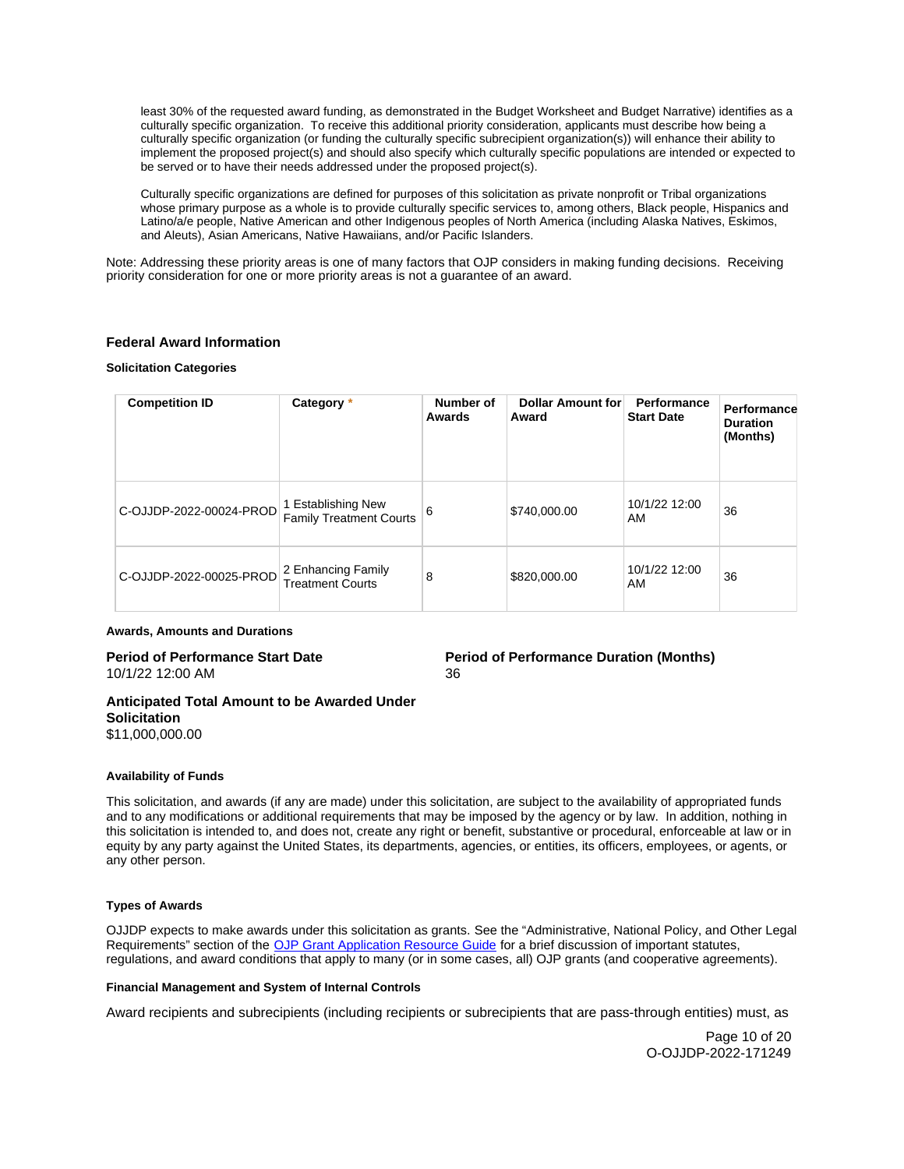<span id="page-9-0"></span>least 30% of the requested award funding, as demonstrated in the Budget Worksheet and Budget Narrative) identifies as a culturally specific organization. To receive this additional priority consideration, applicants must describe how being a culturally specific organization (or funding the culturally specific subrecipient organization(s)) will enhance their ability to implement the proposed project(s) and should also specify which culturally specific populations are intended or expected to be served or to have their needs addressed under the proposed project(s).

Culturally specific organizations are defined for purposes of this solicitation as private nonprofit or Tribal organizations whose primary purpose as a whole is to provide culturally specific services to, among others, Black people, Hispanics and Latino/a/e people, Native American and other Indigenous peoples of North America (including Alaska Natives, Eskimos, and Aleuts), Asian Americans, Native Hawaiians, and/or Pacific Islanders.

Note: Addressing these priority areas is one of many factors that OJP considers in making funding decisions. Receiving priority consideration for one or more priority areas is not a guarantee of an award.

### **Federal Award Information**

#### **Solicitation Categories**

| <b>Competition ID</b>   | Category *                                           | Number of<br>Awards | Dollar Amount for<br>Award | Performance<br><b>Start Date</b> | Performance<br><b>Duration</b><br>(Months) |
|-------------------------|------------------------------------------------------|---------------------|----------------------------|----------------------------------|--------------------------------------------|
| C-OJJDP-2022-00024-PROD | 1 Establishing New<br><b>Family Treatment Courts</b> | 6                   | \$740,000.00               | 10/1/22 12:00<br>AM              | 36                                         |
| C-OJJDP-2022-00025-PROD | 2 Enhancing Family<br><b>Treatment Courts</b>        | 8                   | \$820,000.00               | 10/1/22 12:00<br>AM              | 36                                         |

### **Awards, Amounts and Durations**

10/1/22 12:00 AM 36

**Period of Performance Start Date Period of Performance Duration (Months)** 

### **Anticipated Total Amount to be Awarded Under Solicitation**  \$11,000,000.00

#### **Availability of Funds**

This solicitation, and awards (if any are made) under this solicitation, are subject to the availability of appropriated funds and to any modifications or additional requirements that may be imposed by the agency or by law. In addition, nothing in this solicitation is intended to, and does not, create any right or benefit, substantive or procedural, enforceable at law or in equity by any party against the United States, its departments, agencies, or entities, its officers, employees, or agents, or any other person.

#### **Types of Awards**

OJJDP expects to make awards under this solicitation as grants. See the "Administrative, National Policy, and Other Legal Requirements" section of the [OJP Grant Application Resource Guide](https://ojp.gov/funding/Apply/Resources/Grant-App-Resource-Guide.htm) for a brief discussion of important statutes, regulations, and award conditions that apply to many (or in some cases, all) OJP grants (and cooperative agreements).

#### **Financial Management and System of Internal Controls**

Award recipients and subrecipients (including recipients or subrecipients that are pass-through entities) must, as

Page 10 of 20 O-OJJDP-2022-171249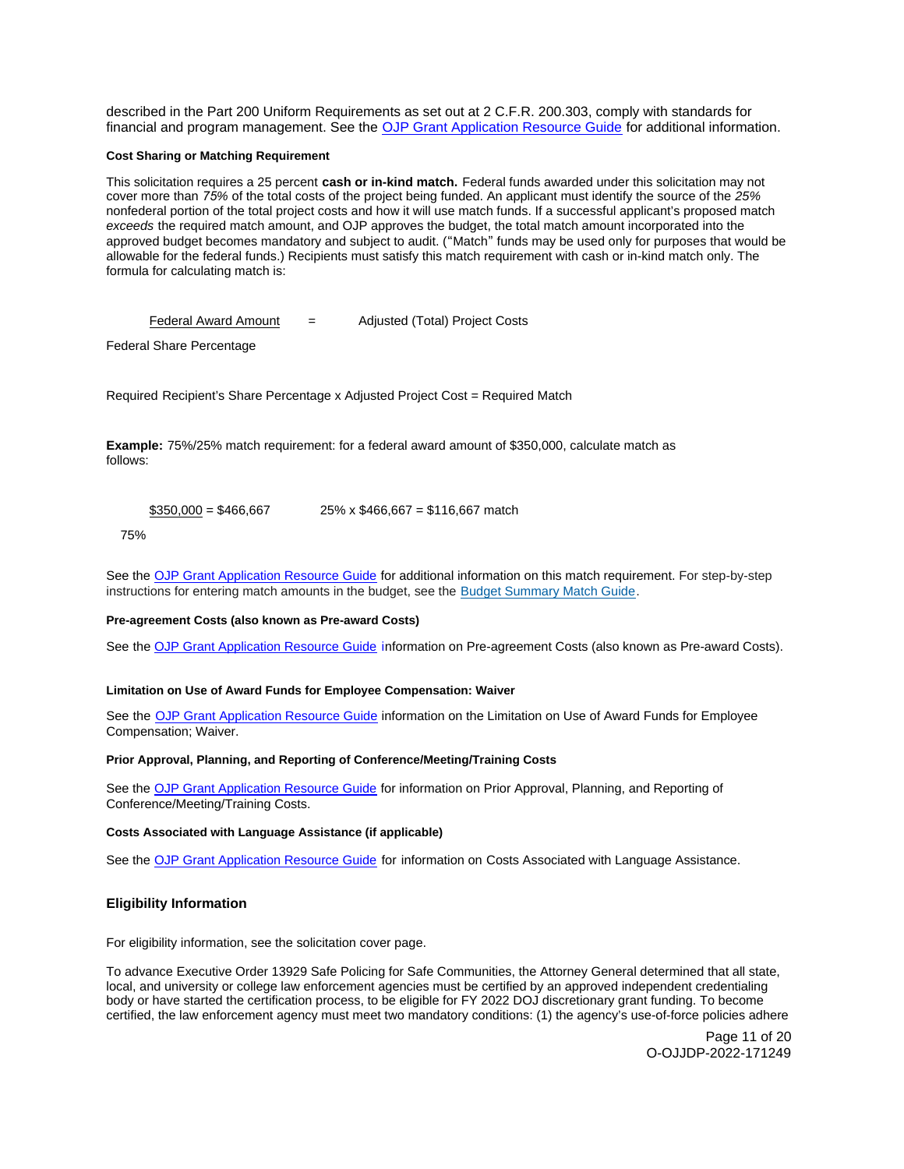<span id="page-10-0"></span>described in the Part 200 Uniform Requirements as set out at 2 C.F.R. 200.303, comply with standards for financial and program management. See the [OJP Grant Application Resource Guide](https://www.ojp.gov/funding/apply/ojp-grant-application-resource-guide#fm-internal-controls) for additional information.

#### **Cost Sharing or Matching Requirement**

This solicitation requires a 25 percent **cash or in-kind match.** Federal funds awarded under this solicitation may not cover more than *75*% of the total costs of the project being funded. An applicant must identify the source of the 25% nonfederal portion of the total project costs and how it will use match funds. If a successful applicant's proposed match exceeds the required match amount, and OJP approves the budget, the total match amount incorporated into the approved budget becomes mandatory and subject to audit. ("Match" funds may be used only for purposes that would be allowable for the federal funds.) Recipients must satisfy this match requirement with cash or in-kind match only. The formula for calculating match is:

 $Federal$  Award Amount  $Fed$  Adjusted (Total) Project Costs

Federal Share Percentage

Required Recipient's Share Percentage x Adjusted Project Cost = Required Match

**Example:** 75%/25% match requirement: for a federal award amount of \$350,000, calculate match as follows:

 $$350,000 = $466,667$  25% x \$466,667 = \$116,667 match

75%

See the [OJP Grant Application Resource Guide](https://www.ojp.gov/funding/apply/ojp-grant-application-resource-guide#cost-sharing) for additional information on this match requirement. For step-by-step instructions for entering match amounts in the budget, see the [Budget Summary Match Guide.](https://justicegrants.usdoj.gov/sites/g/files/xyckuh296/files/media/document/budget-summary-match-guide.pdf)

#### **Pre-agreement Costs (also known as Pre-award Costs)**

See the [OJP Grant Application Resource Guide](https://www.ojp.gov/funding/apply/ojp-grant-application-resource-guide#pre-agreement-costs) information on Pre-agreement Costs (also known as Pre-award Costs).

### **Limitation on Use of Award Funds for Employee Compensation: Waiver**

See the [OJP Grant Application Resource Guide](https://www.ojp.gov/funding/apply/ojp-grant-application-resource-guide#limitation-use-award) information on the Limitation on Use of Award Funds for Employee Compensation; Waiver.

### **Prior Approval, Planning, and Reporting of Conference/Meeting/Training Costs**

See the [OJP Grant Application Resource Guide](https://www.ojp.gov/funding/apply/ojp-grant-application-resource-guide#prior-approval) for information on Prior Approval, Planning, and Reporting of Conference/Meeting/Training Costs.

### **Costs Associated with Language Assistance (if applicable)**

See the [OJP Grant Application Resource Guide](https://www.ojp.gov/funding/apply/ojp-grant-application-resource-guide#costs-associated) for information on Costs Associated with Language Assistance.

### **Eligibility Information**

For eligibility information, see the solicitation cover page.

To advance Executive Order 13929 Safe Policing for Safe Communities, the Attorney General determined that all state, local, and university or college law enforcement agencies must be certified by an approved independent credentialing body or have started the certification process, to be eligible for FY 2022 DOJ discretionary grant funding. To become certified, the law enforcement agency must meet two mandatory conditions: (1) the agency's use-of-force policies adhere

> Page 11 of 20 O-OJJDP-2022-171249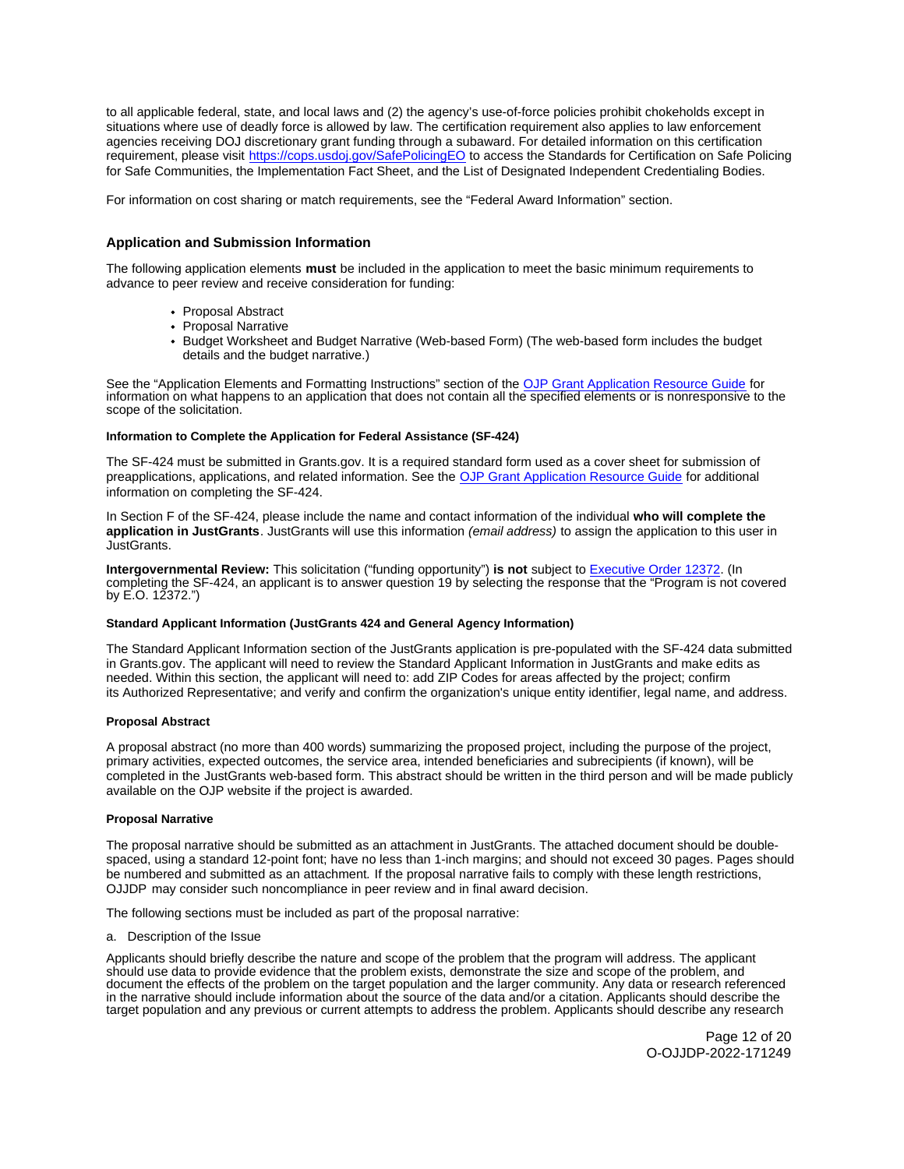<span id="page-11-0"></span>to all applicable federal, state, and local laws and (2) the agency's use-of-force policies prohibit chokeholds except in situations where use of deadly force is allowed by law. The certification requirement also applies to law enforcement agencies receiving DOJ discretionary grant funding through a subaward. For detailed information on this certification requirement, please visit [https://cops.usdoj.gov/SafePolicingEO](https://cops.usdoj.gov/SafePolicingEO%20) to access the Standards for Certification on Safe Policing for Safe Communities, the Implementation Fact Sheet, and the List of Designated Independent Credentialing Bodies.

For information on cost sharing or match requirements, see the "Federal Award Information" section.

### **Application and Submission Information**

The following application elements **must** be included in the application to meet the basic minimum requirements to advance to peer review and receive consideration for funding:

- Proposal Abstract
- Proposal Narrative
- Budget Worksheet and Budget Narrative (Web-based Form) (The web-based form includes the budget details and the budget narrative.)

See the "Application Elements and Formatting Instructions" section of the [OJP Grant Application Resource Guide](https://www.ojp.gov/funding/apply/ojp-grant-application-resource-guide#application-elements) for information on what happens to an application that does not contain all the specified elements or is nonresponsive to the scope of the solicitation.

### **Information to Complete the Application for Federal Assistance (SF-424)**

The SF-424 must be submitted in [Grants.gov.](https://Grants.gov) It is a required standard form used as a cover sheet for submission of preapplications, applications, and related information. See the [OJP Grant Application Resource Guide](https://www.ojp.gov/funding/apply/ojp-grant-application-resource-guide#complete-application) for additional information on completing the SF-424.

In Section F of the SF-424, please include the name and contact information of the individual **who will complete the application in JustGrants**. JustGrants will use this information (email address) to assign the application to this user in JustGrants.

**Intergovernmental Review:** This solicitation ("funding opportunity") **is not** subject to [Executive Order 12372.](https://www.archives.gov/federal-register/codification/executive-order/12372.html) (In completing the SF-424, an applicant is to answer question 19 by selecting the response that the "Program is not covered by E.O. 12372.")

#### **Standard Applicant Information (JustGrants 424 and General Agency Information)**

The Standard Applicant Information section of the JustGrants application is pre-populated with the SF-424 data submitted in [Grants.gov](https://Grants.gov). The applicant will need to review the Standard Applicant Information in JustGrants and make edits as needed. Within this section, the applicant will need to: add ZIP Codes for areas affected by the project; confirm its Authorized Representative; and verify and confirm the organization's unique entity identifier, legal name, and address.

#### **Proposal Abstract**

A proposal abstract (no more than 400 words) summarizing the proposed project, including the purpose of the project, primary activities, expected outcomes, the service area, intended beneficiaries and subrecipients (if known), will be completed in the JustGrants web-based form. This abstract should be written in the third person and will be made publicly available on the OJP website if the project is awarded.

#### **Proposal Narrative**

The proposal narrative should be submitted as an attachment in JustGrants. The attached document should be doublespaced, using a standard 12-point font; have no less than 1-inch margins; and should not exceed 30 pages. Pages should be numbered and submitted as an attachment. If the proposal narrative fails to comply with these length restrictions, OJJDP may consider such noncompliance in peer review and in final award decision.

The following sections must be included as part of the proposal narrative:

a. Description of the Issue

Applicants should briefly describe the nature and scope of the problem that the program will address. The applicant should use data to provide evidence that the problem exists, demonstrate the size and scope of the problem, and document the effects of the problem on the target population and the larger community. Any data or research referenced in the narrative should include information about the source of the data and/or a citation. Applicants should describe the target population and any previous or current attempts to address the problem. Applicants should describe any research

> Page 12 of 20 O-OJJDP-2022-171249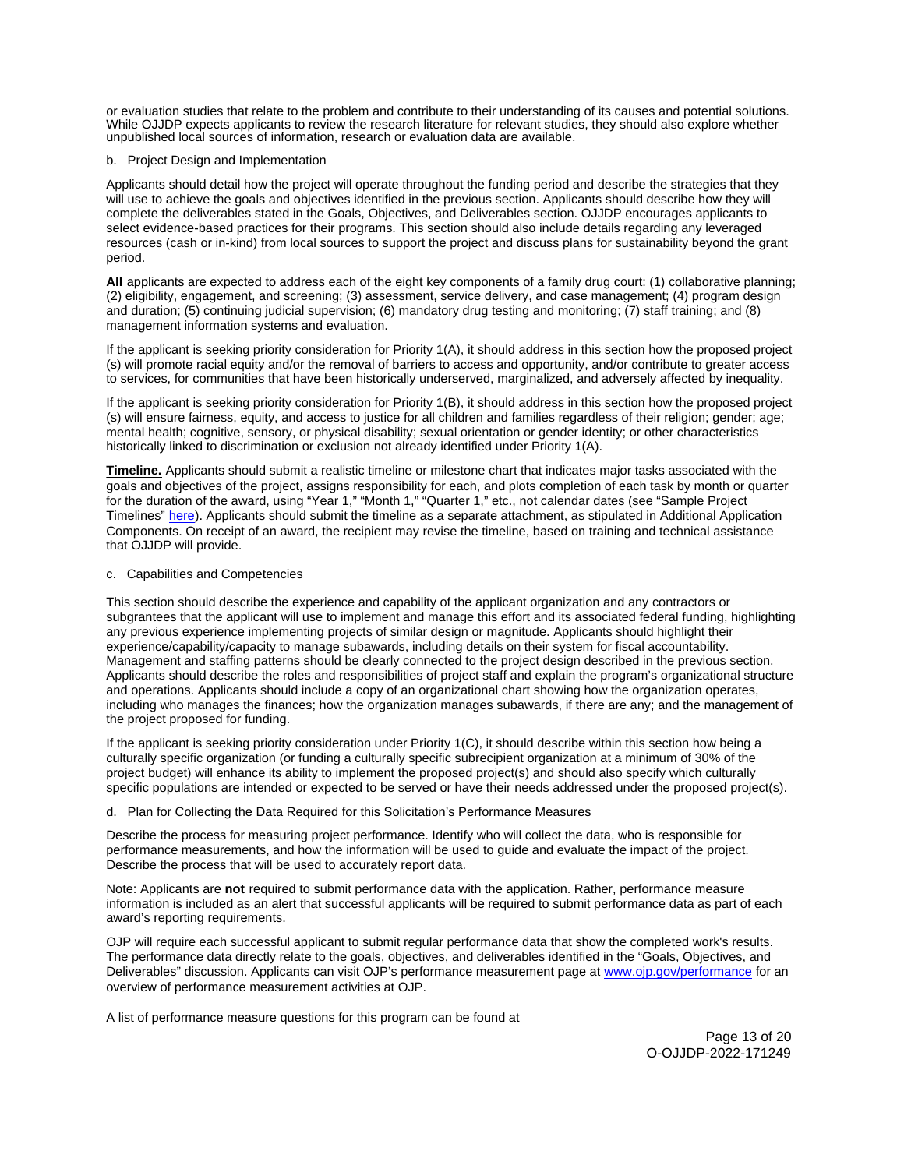or evaluation studies that relate to the problem and contribute to their understanding of its causes and potential solutions. While OJJDP expects applicants to review the research literature for relevant studies, they should also explore whether unpublished local sources of information, research or evaluation data are available.

### b. Project Design and Implementation

Applicants should detail how the project will operate throughout the funding period and describe the strategies that they will use to achieve the goals and objectives identified in the previous section. Applicants should describe how they will complete the deliverables stated in the Goals, Objectives, and Deliverables section. OJJDP encourages applicants to select evidence-based practices for their programs. This section should also include details regarding any leveraged resources (cash or in-kind) from local sources to support the project and discuss plans for sustainability beyond the grant period.

**All** applicants are expected to address each of the eight key components of a family drug court: (1) collaborative planning; (2) eligibility, engagement, and screening; (3) assessment, service delivery, and case management; (4) program design and duration; (5) continuing judicial supervision; (6) mandatory drug testing and monitoring; (7) staff training; and (8) management information systems and evaluation.

If the applicant is seeking priority consideration for Priority 1(A), it should address in this section how the proposed project (s) will promote racial equity and/or the removal of barriers to access and opportunity, and/or contribute to greater access to services, for communities that have been historically underserved, marginalized, and adversely affected by inequality.

If the applicant is seeking priority consideration for Priority 1(B), it should address in this section how the proposed project (s) will ensure fairness, equity, and access to justice for all children and families regardless of their religion; gender; age; mental health; cognitive, sensory, or physical disability; sexual orientation or gender identity; or other characteristics historically linked to discrimination or exclusion not already identified under Priority 1(A).

**Timeline.** Applicants should submit a realistic timeline or milestone chart that indicates major tasks associated with the goals and objectives of the project, assigns responsibility for each, and plots completion of each task by month or quarter for the duration of the award, using "Year 1," "Month 1," "Quarter 1," etc., not calendar dates (see "Sample Project Timelines" [here\)](https://ojjdp.ojp.gov/funding/ojjdp-sample-timelines). Applicants should submit the timeline as a separate attachment, as stipulated in Additional Application Components. On receipt of an award, the recipient may revise the timeline, based on training and technical assistance that OJJDP will provide.

### c. Capabilities and Competencies

This section should describe the experience and capability of the applicant organization and any contractors or subgrantees that the applicant will use to implement and manage this effort and its associated federal funding, highlighting any previous experience implementing projects of similar design or magnitude. Applicants should highlight their experience/capability/capacity to manage subawards, including details on their system for fiscal accountability. Management and staffing patterns should be clearly connected to the project design described in the previous section. Applicants should describe the roles and responsibilities of project staff and explain the program's organizational structure and operations. Applicants should include a copy of an organizational chart showing how the organization operates, including who manages the finances; how the organization manages subawards, if there are any; and the management of the project proposed for funding.

If the applicant is seeking priority consideration under Priority 1(C), it should describe within this section how being a culturally specific organization (or funding a culturally specific subrecipient organization at a minimum of 30% of the project budget) will enhance its ability to implement the proposed project(s) and should also specify which culturally specific populations are intended or expected to be served or have their needs addressed under the proposed project(s).

d. Plan for Collecting the Data Required for this Solicitation's Performance Measures

Describe the process for measuring project performance. Identify who will collect the data, who is responsible for performance measurements, and how the information will be used to guide and evaluate the impact of the project. Describe the process that will be used to accurately report data.

Note: Applicants are **not** required to submit performance data with the application. Rather, performance measure information is included as an alert that successful applicants will be required to submit performance data as part of each award's reporting requirements.

OJP will require each successful applicant to submit regular performance data that show the completed work's results. The performance data directly relate to the goals, objectives, and deliverables identified in the "Goals, Objectives, and Deliverables" discussion. Applicants can visit OJP's performance measurement page at [www.ojp.gov/performance](https://www.ojp.gov/performance) for an overview of performance measurement activities at OJP.

A list of performance measure questions for this program can be found at

Page 13 of 20 O-OJJDP-2022-171249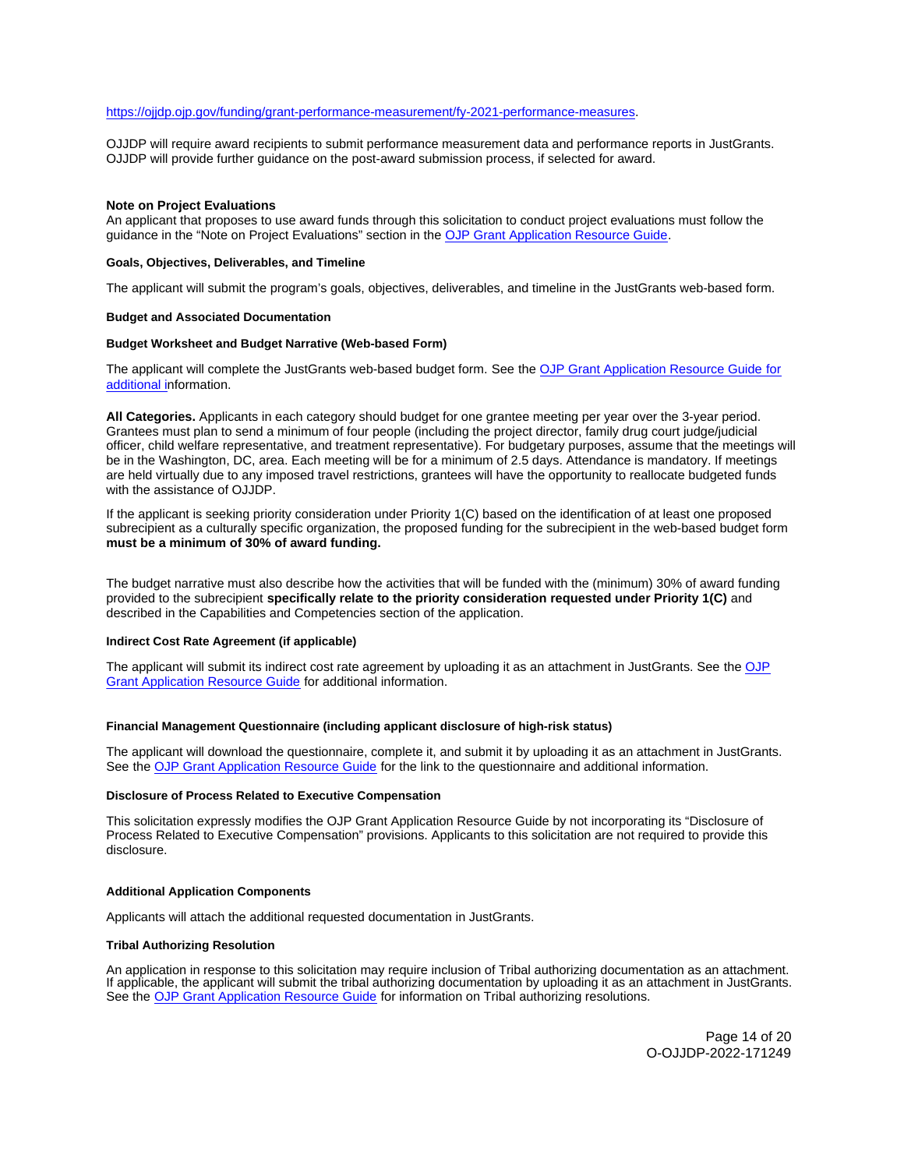### <span id="page-13-0"></span>[https://ojjdp.ojp.gov/funding/grant-performance-measurement/fy-2021-performance-measures.](https://ojjdp.ojp.gov/funding/performance-measures/performance-measures-family-treatment-court.pdf)

OJJDP will require award recipients to submit performance measurement data and performance reports in JustGrants. OJJDP will provide further guidance on the post-award submission process, if selected for award.

#### **Note on Project Evaluations**

An applicant that proposes to use award funds through this solicitation to conduct project evaluations must follow the guidance in the "Note on Project Evaluations" section in the [OJP Grant Application Resource Guide.](https://www.ojp.gov/funding/apply/ojp-grant-application-resource-guide#project-evaluations)

#### **Goals, Objectives, Deliverables, and Timeline**

The applicant will submit the program's goals, objectives, deliverables, and timeline in the JustGrants web-based form.

#### **Budget and Associated Documentation**

#### **Budget Worksheet and Budget Narrative (Web-based Form)**

The applicant will complete the JustGrants web-based budget form. See the [OJP Grant Application Resource Guide](https://ojp.gov/funding/Apply/Resources/Grant-App-Resource-Guide.htm) for additional information.

**All Categories.** Applicants in each category should budget for one grantee meeting per year over the 3-year period. Grantees must plan to send a minimum of four people (including the project director, family drug court judge/judicial officer, child welfare representative, and treatment representative). For budgetary purposes, assume that the meetings will be in the Washington, DC, area. Each meeting will be for a minimum of 2.5 days. Attendance is mandatory. If meetings are held virtually due to any imposed travel restrictions, grantees will have the opportunity to reallocate budgeted funds with the assistance of OJJDP.

If the applicant is seeking priority consideration under Priority 1(C) based on the identification of at least one proposed subrecipient as a culturally specific organization, the proposed funding for the subrecipient in the web-based budget form **must be a minimum of 30% of award funding.** 

The budget narrative must also describe how the activities that will be funded with the (minimum) 30% of award funding provided to the subrecipient **specifically relate to the priority consideration requested under Priority 1(C)** and described in the Capabilities and Competencies section of the application.

#### **Indirect Cost Rate Agreement (if applicable)**

The applicant will submit its indirect cost rate agreement by uploading it as an attachment in JustGrants. See the OJP [Grant Application Resource Guide](https://www.ojp.gov/funding/apply/ojp-grant-application-resource-guide#indirect-cost) for additional information.

### **Financial Management Questionnaire (including applicant disclosure of high-risk status)**

The applicant will download the questionnaire, complete it, and submit it by uploading it as an attachment in JustGrants. See the [OJP Grant Application Resource Guide](https://www.ojp.gov/funding/apply/ojp-grant-application-resource-guide#fm-internal-controls-questionnaire) for the link to the questionnaire and additional information.

### **Disclosure of Process Related to Executive Compensation**

This solicitation expressly modifies the OJP Grant Application Resource Guide by not incorporating its "Disclosure of Process Related to Executive Compensation" provisions. Applicants to this solicitation are not required to provide this disclosure.

#### **Additional Application Components**

Applicants will attach the additional requested documentation in JustGrants.

#### **Tribal Authorizing Resolution**

An application in response to this solicitation may require inclusion of Tribal authorizing documentation as an attachment. If applicable, the applicant will submit the tribal authorizing documentation by uploading it as an attachment in JustGrants. See the [OJP Grant Application Resource Guide](https://www.ojp.gov/funding/apply/ojp-grant-application-resource-guide#tribal-authorizing-resolution) for information on Tribal authorizing resolutions.

> Page 14 of 20 O-OJJDP-2022-171249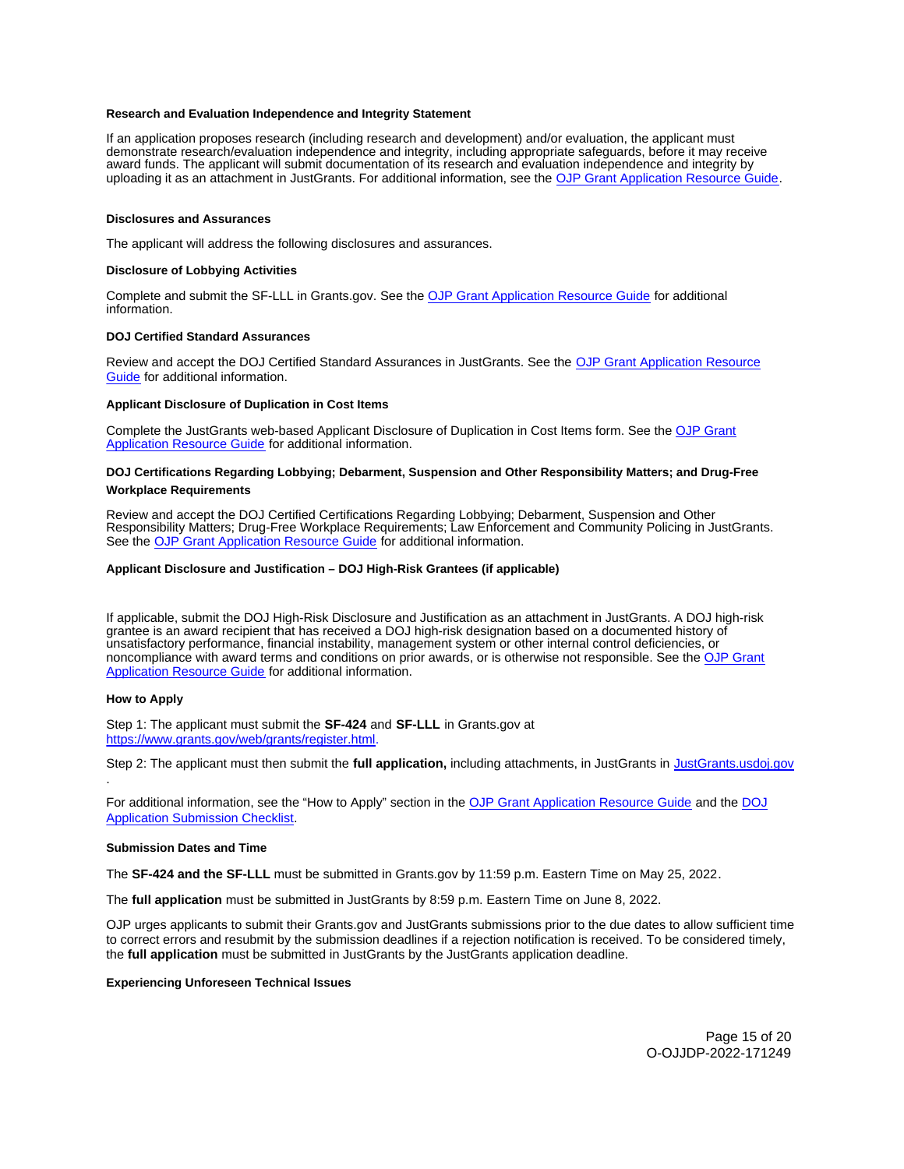#### <span id="page-14-0"></span>**Research and Evaluation Independence and Integrity Statement**

If an application proposes research (including research and development) and/or evaluation, the applicant must demonstrate research/evaluation independence and integrity, including appropriate safeguards, before it may receive award funds. The applicant will submit documentation of its research and evaluation independence and integrity by uploading it as an attachment in JustGrants. For additional information, see the [OJP Grant Application Resource Guide.](https://www.ojp.gov/funding/apply/ojp-grant-application-resource-guide#research-evaluation)

#### **Disclosures and Assurances**

The applicant will address the following disclosures and assurances.

#### **Disclosure of Lobbying Activities**

Complete and submit the SF-LLL in [Grants.gov.](https://Grants.gov) See the [OJP Grant Application Resource Guide](https://www.ojp.gov/funding/apply/ojp-grant-application-resource-guide#disclosure-lobby) for additional information.

#### **DOJ Certified Standard Assurances**

Review and accept the DOJ Certified Standard Assurances in JustGrants. See the [OJP Grant Application Resource](https://www.ojp.gov/funding/apply/ojp-grant-application-resource-guide#administrative)  [Guide](https://www.ojp.gov/funding/apply/ojp-grant-application-resource-guide#administrative) for additional information.

#### **Applicant Disclosure of Duplication in Cost Items**

Complete the JustGrants web-based Applicant Disclosure of Duplication in Cost Items form. See the OJP Grant [Application Resource Guide](https://www.ojp.gov/funding/apply/ojp-grant-application-resource-guide#applicant-disclosure-pending-applications) for additional information.

### **DOJ Certifications Regarding Lobbying; Debarment, Suspension and Other Responsibility Matters; and Drug-Free Workplace Requirements**

Review and accept the DOJ Certified Certifications Regarding Lobbying; Debarment, Suspension and Other Responsibility Matters; Drug-Free Workplace Requirements; Law Enforcement and Community Policing in JustGrants. See the [OJP Grant Application Resource Guide](https://www.ojp.gov/funding/apply/ojp-grant-application-resource-guide#administrative) for additional information.

### **Applicant Disclosure and Justification – DOJ High-Risk Grantees (if applicable)**

If applicable, submit the DOJ High-Risk Disclosure and Justification as an attachment in JustGrants. A DOJ high-risk grantee is an award recipient that has received a DOJ high-risk designation based on a documented history of unsatisfactory performance, financial instability, management system or other internal control deficiencies, or noncompliance with award terms and conditions on prior awards, or is otherwise not responsible. See the [OJP Grant](https://www.ojp.gov/funding/apply/ojp-grant-application-resource-guide#applicant-disclosure-justification)  [Application Resource Guide](https://www.ojp.gov/funding/apply/ojp-grant-application-resource-guide#applicant-disclosure-justification) for additional information.

### **How to Apply**

Step 1: The applicant must submit the **SF-424** and **SF-LLL** in [Grants.gov](https://Grants.gov) at [https://www.grants.gov/web/grants/register.html.](https://www.grants.gov/web/grants/register.html)

Step 2: The applicant must then submit the **full application,** including attachments, in JustGrants in [JustGrants.usdoj.gov](https://justicegrants.usdoj.gov/)  .

For additional information, see the "How to Apply" section in the [OJP Grant Application Resource Guide](https://www.ojp.gov/funding/apply/ojp-grant-application-resource-guide#apply) and the [DOJ](https://justicegrants.usdoj.gov/sites/g/files/xyckuh296/files/media/document/appln-submission-checklist.pdf)  [Application Submission Checklist.](https://justicegrants.usdoj.gov/sites/g/files/xyckuh296/files/media/document/appln-submission-checklist.pdf)

#### **Submission Dates and Time**

The **SF-424 and the SF-LLL** must be submitted in [Grants.gov](https://Grants.gov) by 11:59 p.m. Eastern Time on May 25, 2022.

The **full application** must be submitted in JustGrants by 8:59 p.m. Eastern Time on June 8, 2022.

OJP urges applicants to submit their [Grants.gov](https://Grants.gov) and JustGrants submissions prior to the due dates to allow sufficient time to correct errors and resubmit by the submission deadlines if a rejection notification is received. To be considered timely, the **full application** must be submitted in JustGrants by the JustGrants application deadline.

#### **Experiencing Unforeseen Technical Issues**

Page 15 of 20 O-OJJDP-2022-171249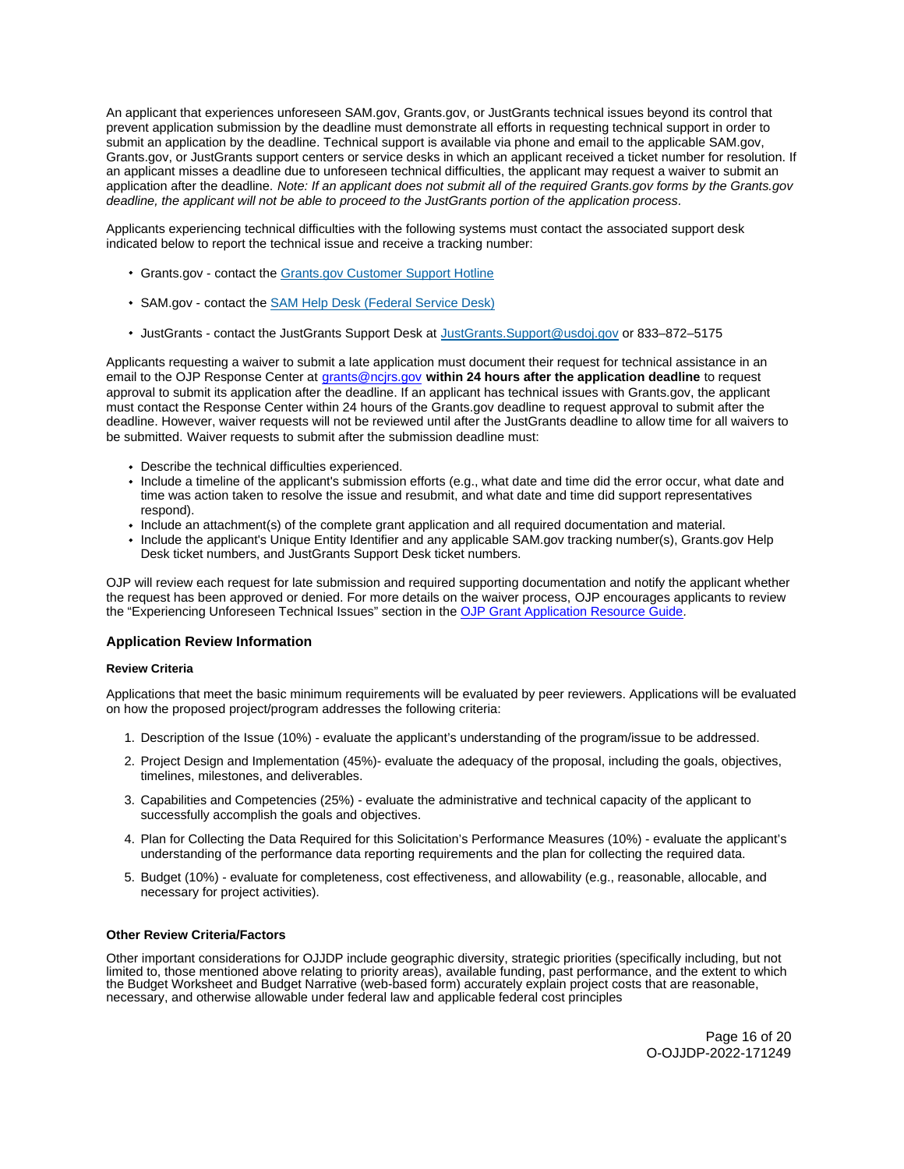<span id="page-15-0"></span>An applicant that experiences unforeseen SAM.gov, [Grants.gov,](https://Grants.gov) or JustGrants technical issues beyond its control that prevent application submission by the deadline must demonstrate all efforts in requesting technical support in order to submit an application by the deadline. Technical support is available via phone and email to the applicable SAM.gov, [Grants.gov](https://Grants.gov), or JustGrants support centers or service desks in which an applicant received a ticket number for resolution. If an applicant misses a deadline due to unforeseen technical difficulties, the applicant may request a waiver to submit an application after the deadline. Note: If an applicant does not submit all of the required [Grants.gov](https://Grants.gov) forms by the [Grants.gov](https://Grants.gov) deadline, the applicant will not be able to proceed to the JustGrants portion of the application process.

Applicants experiencing technical difficulties with the following systems must contact the associated support desk indicated below to report the technical issue and receive a tracking number:

- [Grants.gov](https://Grants.gov)  contact the Grants.gov Customer Support Hotline
- SAM.gov contact the [SAM Help Desk \(Federal Service Desk\)](https://www.fsd.gov/gsafsd_sp)
- JustGrants contact the JustGrants Support Desk at [JustGrants.Support@usdoj.gov](mailto:JustGrants.Support@usdoj.gov) or 833–872–5175

Applicants requesting a waiver to submit a late application must document their request for technical assistance in an email to the OJP Response Center at [grants@ncjrs.gov](file:///C:/Users/local_Yehj/INetCache/Content.Outlook/20U4XBR7/grants@ncjrs.gov) **within 24 hours after the application deadline** to request approval to submit its application after the deadline. If an applicant has technical issues with [Grants.gov,](https://Grants.gov) the applicant must contact the Response Center within 24 hours of the [Grants.gov](https://Grants.gov) deadline to request approval to submit after the deadline. However, waiver requests will not be reviewed until after the JustGrants deadline to allow time for all waivers to be submitted. Waiver requests to submit after the submission deadline must:

- Describe the technical difficulties experienced.
- Include a timeline of the applicant's submission efforts (e.g., what date and time did the error occur, what date and time was action taken to resolve the issue and resubmit, and what date and time did support representatives respond).
- Include an attachment(s) of the complete grant application and all required documentation and material.
- Include the applicant's Unique Entity Identifier and any applicable SAM.gov tracking number(s), [Grants.gov](https://Grants.gov) Help Desk ticket numbers, and JustGrants Support Desk ticket numbers.

OJP will review each request for late submission and required supporting documentation and notify the applicant whether the request has been approved or denied. For more details on the waiver process, OJP encourages applicants to review the "Experiencing Unforeseen Technical Issues" section in the [OJP Grant Application Resource Guide](https://www.ojp.gov/funding/apply/ojp-grant-application-resource-guide#experiencing-unforeseen-technical-issues).

### **Application Review Information**

#### **Review Criteria**

Applications that meet the basic minimum requirements will be evaluated by peer reviewers. Applications will be evaluated on how the proposed project/program addresses the following criteria:

- 1. Description of the Issue (10%) evaluate the applicant's understanding of the program/issue to be addressed.
- 2. Project Design and Implementation (45%)- evaluate the adequacy of the proposal, including the goals, objectives, timelines, milestones, and deliverables.
- 3. Capabilities and Competencies (25%) evaluate the administrative and technical capacity of the applicant to successfully accomplish the goals and objectives.
- 4. Plan for Collecting the Data Required for this Solicitation's Performance Measures (10%) evaluate the applicant's understanding of the performance data reporting requirements and the plan for collecting the required data.
- 5. Budget (10%) evaluate for completeness, cost effectiveness, and allowability (e.g., reasonable, allocable, and necessary for project activities).

#### **Other Review Criteria/Factors**

Other important considerations for OJJDP include geographic diversity, strategic priorities (specifically including, but not limited to, those mentioned above relating to priority areas), available funding, past performance, and the extent to which the Budget Worksheet and Budget Narrative (web-based form) accurately explain project costs that are reasonable, necessary, and otherwise allowable under federal law and applicable federal cost principles

> Page 16 of 20 O-OJJDP-2022-171249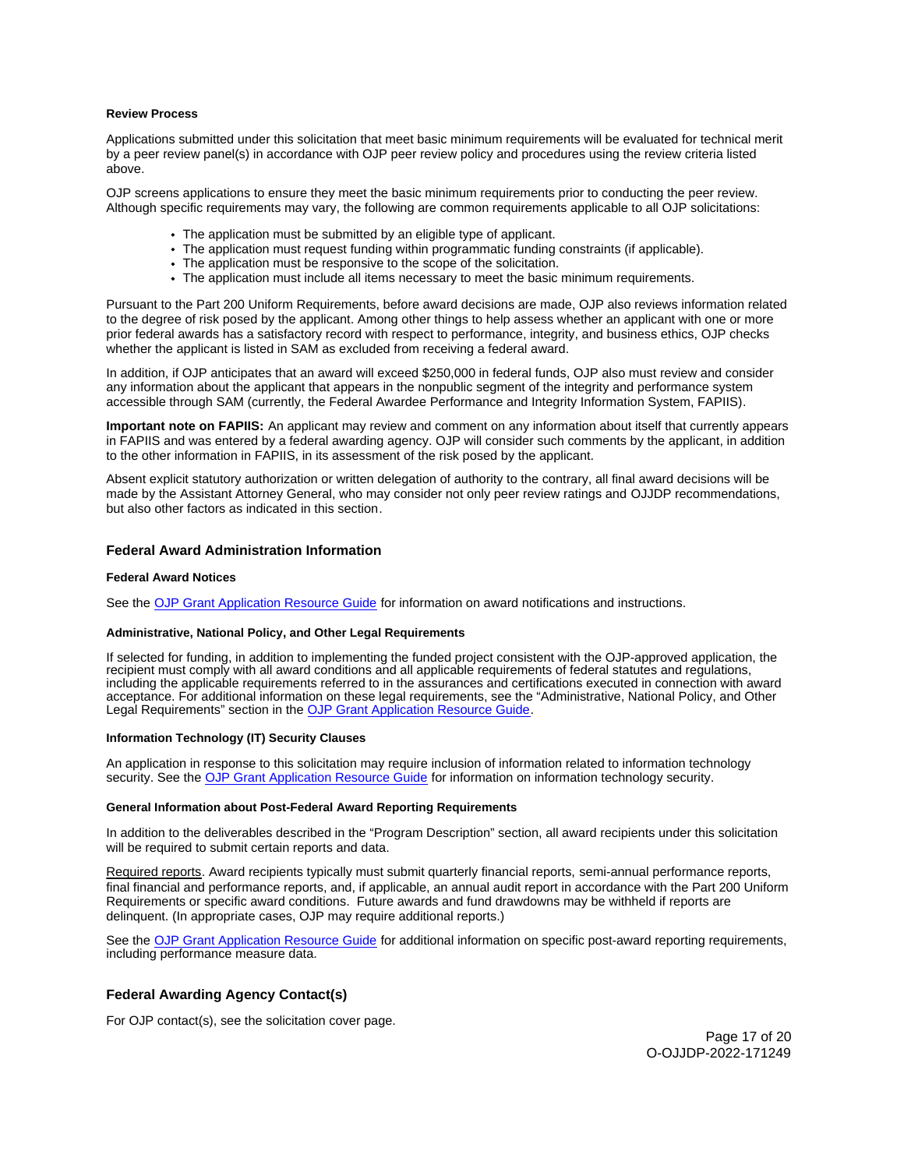#### <span id="page-16-0"></span>**Review Process**

Applications submitted under this solicitation that meet basic minimum requirements will be evaluated for technical merit by a peer review panel(s) in accordance with OJP peer review policy and procedures using the review criteria listed above.

OJP screens applications to ensure they meet the basic minimum requirements prior to conducting the peer review. Although specific requirements may vary, the following are common requirements applicable to all OJP solicitations:

- The application must be submitted by an eligible type of applicant.
- The application must request funding within programmatic funding constraints (if applicable).
- The application must be responsive to the scope of the solicitation.
- The application must include all items necessary to meet the basic minimum requirements.

Pursuant to the Part 200 Uniform Requirements, before award decisions are made, OJP also reviews information related to the degree of risk posed by the applicant. Among other things to help assess whether an applicant with one or more prior federal awards has a satisfactory record with respect to performance, integrity, and business ethics, OJP checks whether the applicant is listed in SAM as excluded from receiving a federal award.

In addition, if OJP anticipates that an award will exceed \$250,000 in federal funds, OJP also must review and consider any information about the applicant that appears in the nonpublic segment of the integrity and performance system accessible through SAM (currently, the Federal Awardee Performance and Integrity Information System, FAPIIS).

**Important note on FAPIIS:** An applicant may review and comment on any information about itself that currently appears in FAPIIS and was entered by a federal awarding agency. OJP will consider such comments by the applicant, in addition to the other information in FAPIIS, in its assessment of the risk posed by the applicant.

Absent explicit statutory authorization or written delegation of authority to the contrary, all final award decisions will be made by the Assistant Attorney General, who may consider not only peer review ratings and OJJDP recommendations, but also other factors as indicated in this section.

### **Federal Award Administration Information**

#### **Federal Award Notices**

See the [OJP Grant Application Resource Guide](https://www.ojp.gov/funding/apply/ojp-grant-application-resource-guide#federal-award-notices) for information on award notifications and instructions.

### **Administrative, National Policy, and Other Legal Requirements**

If selected for funding, in addition to implementing the funded project consistent with the OJP-approved application, the recipient must comply with all award conditions and all applicable requirements of federal statutes and regulations, including the applicable requirements referred to in the assurances and certifications executed in connection with award acceptance. For additional information on these legal requirements, see the "Administrative, National Policy, and Other Legal Requirements" section in the [OJP Grant Application Resource Guide.](https://www.ojp.gov/funding/apply/ojp-grant-application-resource-guide#administrative)

### **Information Technology (IT) Security Clauses**

An application in response to this solicitation may require inclusion of information related to information technology security. See the [OJP Grant Application Resource Guide](https://www.ojp.gov/funding/apply/ojp-grant-application-resource-guide#information-technology) for information on information technology security.

### **General Information about Post-Federal Award Reporting Requirements**

In addition to the deliverables described in the "Program Description" section, all award recipients under this solicitation will be required to submit certain reports and data.

Required reports. Award recipients typically must submit quarterly financial reports, semi-annual performance reports, final financial and performance reports, and, if applicable, an annual audit report in accordance with the Part 200 Uniform Requirements or specific award conditions. Future awards and fund drawdowns may be withheld if reports are delinquent. (In appropriate cases, OJP may require additional reports.)

See the [OJP Grant Application Resource Guide](https://www.ojp.gov/funding/apply/ojp-grant-application-resource-guide#general-information) for additional information on specific post-award reporting requirements, including performance measure data.

### **Federal Awarding Agency Contact(s)**

For OJP contact(s), see the solicitation cover page.

Page 17 of 20 O-OJJDP-2022-171249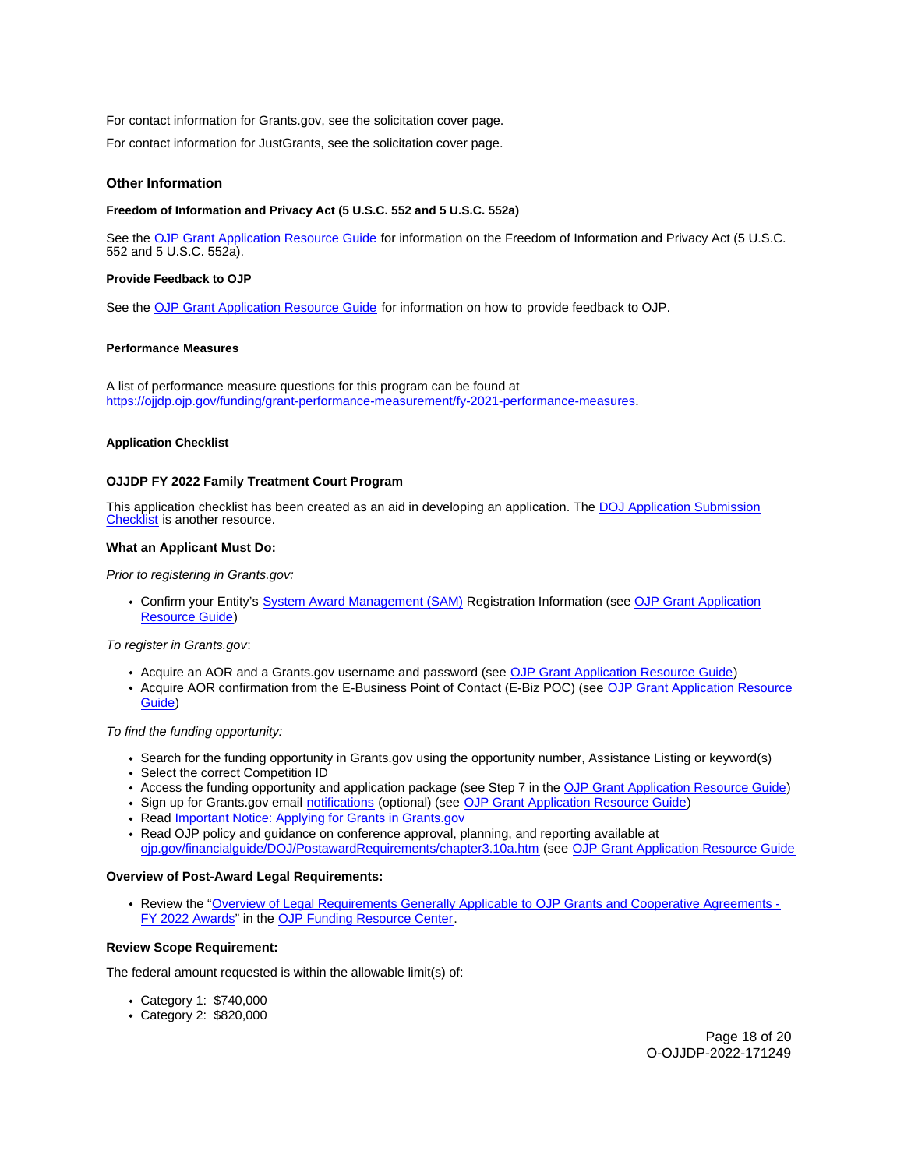<span id="page-17-0"></span>For contact information for [Grants.gov,](https://Grants.gov) see the solicitation cover page.

For contact information for JustGrants, see the solicitation cover page.

### **Other Information**

### **Freedom of Information and Privacy Act (5 U.S.C. 552 and 5 U.S.C. 552a)**

See the [OJP Grant Application Resource Guide](https://www.ojp.gov/funding/apply/ojp-grant-application-resource-guide#foia) for information on the Freedom of Information and Privacy Act (5 U.S.C. 552 and 5 U.S.C. 552a).

#### **Provide Feedback to OJP**

See the [OJP Grant Application Resource Guide](https://www.ojp.gov/funding/apply/ojp-grant-application-resource-guide#feedback) for information on how to provide feedback to OJP.

### **Performance Measures**

A list of performance measure questions for this program can be found at [https://ojjdp.ojp.gov/funding/grant-performance-measurement/fy-2021-performance-measures.](https://ojjdp.ojp.gov/funding/performance-measures/performance-measures-family-treatment-court.pdf)

### **Application Checklist**

#### **OJJDP FY 2022 Family Treatment Court Program**

This application checklist has been created as an aid in developing an application. The [DOJ Application Submission](https://justicegrants.usdoj.gov/sites/g/files/xyckuh296/files/media/document/appln-submission-checklist.pdf)  [Checklist](https://justicegrants.usdoj.gov/sites/g/files/xyckuh296/files/media/document/appln-submission-checklist.pdf) is another resource.

#### **What an Applicant Must Do:**

Prior to registering in [Grants.gov:](https://Grants.gov)

Confirm your Entity's [System Award Management \(SAM\)](https://sam.gov/SAM/) Registration Information (see [OJP Grant Application](https://www.ojp.gov/funding/apply/ojp-grant-application-resource-guide#apply)  [Resource Guide\)](https://www.ojp.gov/funding/apply/ojp-grant-application-resource-guide#apply)

To register in [Grants.gov](https://Grants.gov):

- Acquire an AOR and a [Grants.gov](https://Grants.gov) username and password (see [OJP Grant Application Resource Guide\)](https://www.ojp.gov/funding/apply/ojp-grant-application-resource-guide#apply)
- Acquire AOR confirmation from the E-Business Point of Contact (E-Biz POC) (see [OJP Grant Application Resource](https://www.ojp.gov/funding/apply/ojp-grant-application-resource-guide#apply)  [Guide\)](https://www.ojp.gov/funding/apply/ojp-grant-application-resource-guide#apply)

#### To find the funding opportunity:

- Search for the funding opportunity in [Grants.gov](https://Grants.gov) using the opportunity number, Assistance Listing or keyword(s)
- Select the correct Competition ID
- Access the funding opportunity and application package (see Step 7 in the [OJP Grant Application Resource Guide\)](https://www.ojp.gov/funding/apply/ojp-grant-application-resource-guide#apply)
- Sign up for [Grants.gov](https://Grants.gov) email [notifications](https://www.grants.gov/web/grants/manage-subscriptions.html) (optional) (see [OJP Grant Application Resource Guide\)](https://www.ojp.gov/funding/apply/ojp-grant-application-resource-guide#apply)
- Read Important Notice: Applying for Grants in Grants.gov
- Read OJP policy and guidance on conference approval, planning, and reporting available at [ojp.gov/financialguide/DOJ/PostawardRequirements/chapter3.10a.htm](https://ojp.gov/financialguide/DOJ/PostawardRequirements/chapter3.10a.htm) (see [OJP Grant Application Resource Guide](https://www.ojp.gov/funding/apply/ojp-grant-application-resource-guide#prior-approval)

### **Overview of Post-Award Legal Requirements:**

Review the "[Overview of Legal Requirements Generally Applicable to OJP Grants and Cooperative Agreements -](https://www.ojp.gov/funding/explore/legal-overview-awards) [FY 2022 Awards"](https://www.ojp.gov/funding/explore/legal-overview-awards) in the [OJP Funding Resource Center.](https://www.ojp.gov/funding/explore/legal-overview-awards)

### **Review Scope Requirement:**

The federal amount requested is within the allowable limit(s) of:

- Category 1: \$740,000
- Category 2: \$820,000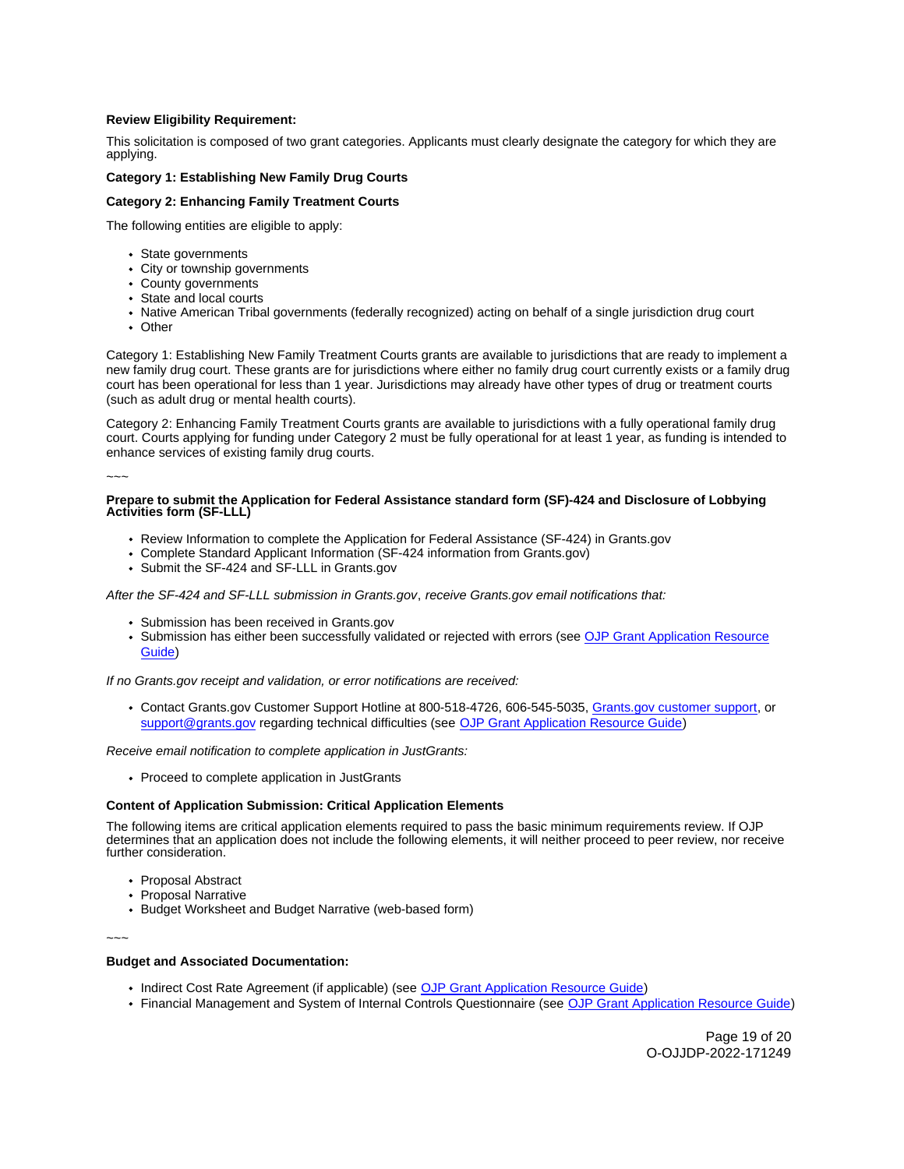### **Review Eligibility Requirement:**

This solicitation is composed of two grant categories. Applicants must clearly designate the category for which they are applying.

### **Category 1: Establishing New Family Drug Courts**

### **Category 2: Enhancing Family Treatment Courts**

The following entities are eligible to apply:

- State governments
- City or township governments
- County governments
- State and local courts
- Native American Tribal governments (federally recognized) acting on behalf of a single jurisdiction drug court
- Other

Category 1: Establishing New Family Treatment Courts grants are available to jurisdictions that are ready to implement a new family drug court. These grants are for jurisdictions where either no family drug court currently exists or a family drug court has been operational for less than 1 year. Jurisdictions may already have other types of drug or treatment courts (such as adult drug or mental health courts).

Category 2: Enhancing Family Treatment Courts grants are available to jurisdictions with a fully operational family drug court. Courts applying for funding under Category 2 must be fully operational for at least 1 year, as funding is intended to enhance services of existing family drug courts.

#### $\sim\sim\sim$

#### **Prepare to submit the Application for Federal Assistance standard form (SF)-424 and Disclosure of Lobbying Activities form (SF-LLL)**

- Review Information to complete the Application for Federal Assistance (SF-424) in [Grants.gov](https://Grants.gov)
- Complete Standard Applicant Information (SF-424 information from [Grants.gov\)](https://Grants.gov)
- Submit the SF-424 and SF-LLL in Grants.gov

After the SF-424 and SF-LLL submission in [Grants.gov](https://Grants.gov), receive [Grants.gov](https://Grants.gov) email notifications that:

- Submission has been received in [Grants.gov](https://Grants.gov)
- Submission has either been successfully validated or rejected with errors (see [OJP Grant Application Resource](https://www.ojp.gov/funding/apply/ojp-grant-application-resource-guide#apply)  [Guide\)](https://www.ojp.gov/funding/apply/ojp-grant-application-resource-guide#apply)

If no [Grants.gov](https://Grants.gov) receipt and validation, or error notifications are received:

Contact [Grants.gov](https://Grants.gov) Customer Support Hotline at 800-518-4726, 606-545-5035, [Grants.gov customer support,](https://www.grants.gov/web/grants/support.html) or [support@grants.gov](mailto:support@grants.gov) regarding technical difficulties (see [OJP Grant Application Resource Guide\)](https://www.ojp.gov/funding/apply/ojp-grant-application-resource-guide#apply)

Receive email notification to complete application in JustGrants:

• Proceed to complete application in JustGrants

### **Content of Application Submission: Critical Application Elements**

The following items are critical application elements required to pass the basic minimum requirements review. If OJP determines that an application does not include the following elements, it will neither proceed to peer review, nor receive further consideration.

- Proposal Abstract
- Proposal Narrative
- Budget Worksheet and Budget Narrative (web-based form)

 $\sim$   $\sim$ 

### **Budget and Associated Documentation:**

- Indirect Cost Rate Agreement (if applicable) (see [OJP Grant Application Resource Guide\)](https://www.ojp.gov/funding/apply/ojp-grant-application-resource-guide#indirect-cost)
- Financial Management and System of Internal Controls Questionnaire (see [OJP Grant Application Resource Guide\)](https://www.ojp.gov/funding/apply/ojp-grant-application-resource-guide#fm-internal-controls-questionnaire)

Page 19 of 20 O-OJJDP-2022-171249